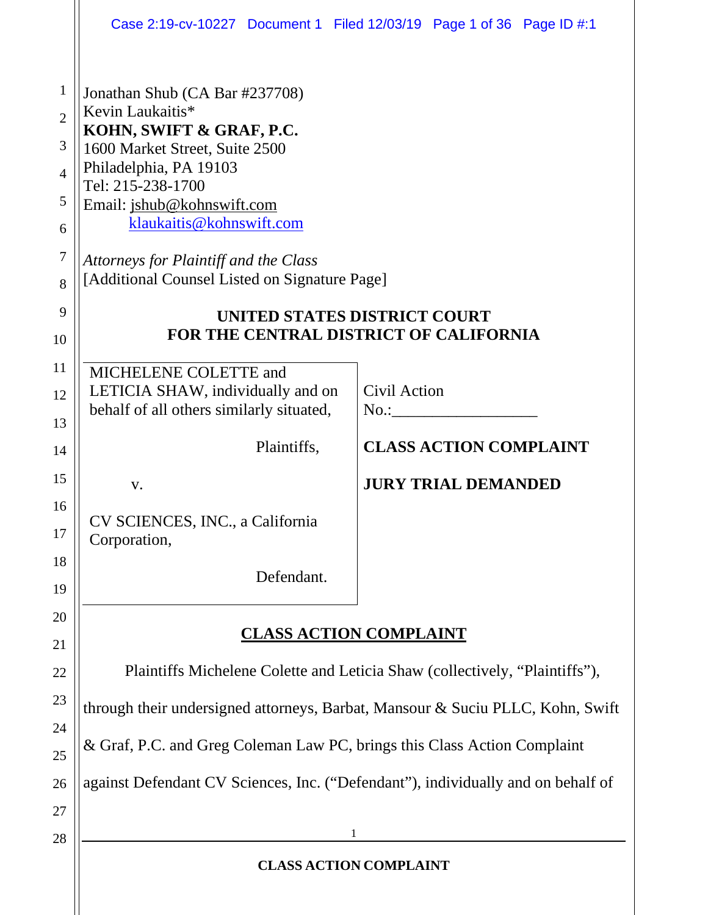|                                                                                     |                                                                                                                                                                                                                                                                                                                                                     | Case 2:19-cv-10227 Document 1 Filed 12/03/19 Page 1 of 36 Page ID #:1 |  |  |  |
|-------------------------------------------------------------------------------------|-----------------------------------------------------------------------------------------------------------------------------------------------------------------------------------------------------------------------------------------------------------------------------------------------------------------------------------------------------|-----------------------------------------------------------------------|--|--|--|
| $\mathbf{1}$<br>$\overline{2}$<br>3<br>$\overline{4}$<br>5<br>6<br>$\tau$<br>8<br>9 | Jonathan Shub (CA Bar #237708)<br>Kevin Laukaitis*<br>KOHN, SWIFT & GRAF, P.C.<br>1600 Market Street, Suite 2500<br>Philadelphia, PA 19103<br>Tel: 215-238-1700<br>Email: jshub@kohnswift.com<br>klaukaitis@kohnswift.com<br>Attorneys for Plaintiff and the Class<br>[Additional Counsel Listed on Signature Page]<br>UNITED STATES DISTRICT COURT |                                                                       |  |  |  |
| 10                                                                                  | FOR THE CENTRAL DISTRICT OF CALIFORNIA                                                                                                                                                                                                                                                                                                              |                                                                       |  |  |  |
| 11<br>12<br>13                                                                      | MICHELENE COLETTE and<br>LETICIA SHAW, individually and on<br>behalf of all others similarly situated,                                                                                                                                                                                                                                              | Civil Action<br>No.:                                                  |  |  |  |
| 14                                                                                  | Plaintiffs,                                                                                                                                                                                                                                                                                                                                         | <b>CLASS ACTION COMPLAINT</b>                                         |  |  |  |
| 15                                                                                  | V.                                                                                                                                                                                                                                                                                                                                                  | <b>JURY TRIAL DEMANDED</b>                                            |  |  |  |
| 16<br>17                                                                            | CV SCIENCES, INC., a California<br>Corporation,                                                                                                                                                                                                                                                                                                     |                                                                       |  |  |  |
| 18<br>19                                                                            | Defendant.                                                                                                                                                                                                                                                                                                                                          |                                                                       |  |  |  |
| 20<br>21                                                                            | <b>CLASS ACTION COMPLAINT</b>                                                                                                                                                                                                                                                                                                                       |                                                                       |  |  |  |
| 22                                                                                  | Plaintiffs Michelene Colette and Leticia Shaw (collectively, "Plaintiffs"),                                                                                                                                                                                                                                                                         |                                                                       |  |  |  |
| 23                                                                                  | through their undersigned attorneys, Barbat, Mansour & Suciu PLLC, Kohn, Swift                                                                                                                                                                                                                                                                      |                                                                       |  |  |  |
| 24<br>25                                                                            | & Graf, P.C. and Greg Coleman Law PC, brings this Class Action Complaint                                                                                                                                                                                                                                                                            |                                                                       |  |  |  |
| 26                                                                                  | against Defendant CV Sciences, Inc. ("Defendant"), individually and on behalf of                                                                                                                                                                                                                                                                    |                                                                       |  |  |  |
| 27                                                                                  |                                                                                                                                                                                                                                                                                                                                                     |                                                                       |  |  |  |
| 28                                                                                  | 1                                                                                                                                                                                                                                                                                                                                                   |                                                                       |  |  |  |
|                                                                                     | <b>CLASS ACTION COMPLAINT</b>                                                                                                                                                                                                                                                                                                                       |                                                                       |  |  |  |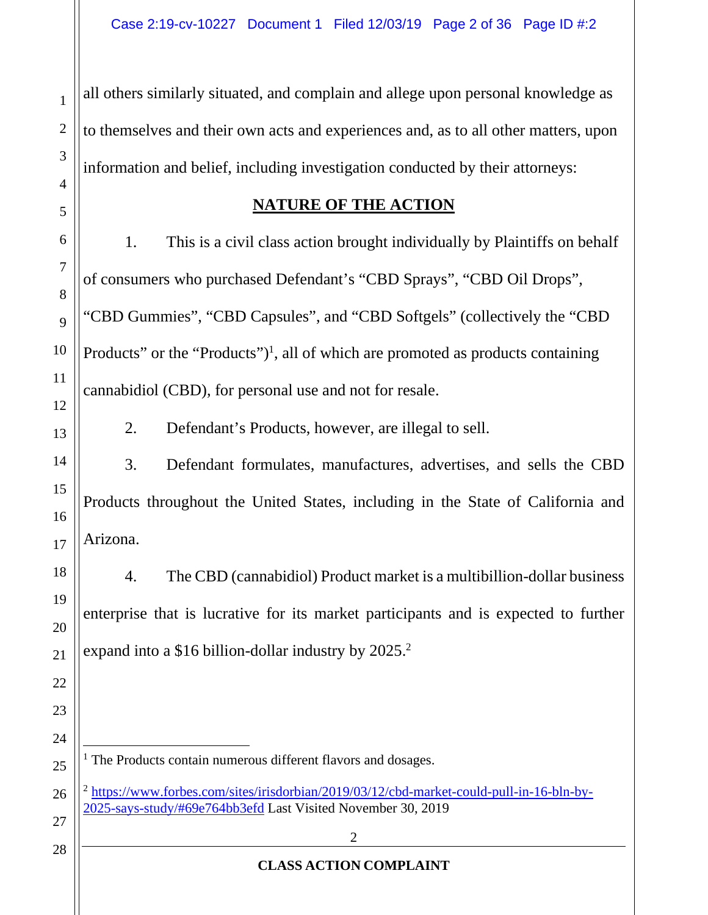all others similarly situated, and complain and allege upon personal knowledge as to themselves and their own acts and experiences and, as to all other matters, upon information and belief, including investigation conducted by their attorneys:

#### **NATURE OF THE ACTION**

1. This is a civil class action brought individually by Plaintiffs on behalf of consumers who purchased Defendant's "CBD Sprays", "CBD Oil Drops", "CBD Gummies", "CBD Capsules", and "CBD Softgels" (collectively the "CBD Products" or the "Products" $)$ <sup>1</sup>, all of which are promoted as products containing cannabidiol (CBD), for personal use and not for resale.

2. Defendant's Products, however, are illegal to sell.

3. Defendant formulates, manufactures, advertises, and sells the CBD Products throughout the United States, including in the State of California and Arizona.

4. The CBD (cannabidiol) Product market is a multibillion-dollar business enterprise that is lucrative for its market participants and is expected to further expand into a \$16 billion-dollar industry by 2025.<sup>2</sup>

- $<sup>1</sup>$  The Products contain numerous different flavors and dosages.</sup>
- <sup>2</sup> https://www.forbes.com/sites/irisdorbian/2019/03/12/cbd-market-could-pull-in-16-bln-by-2025-says-study/#69e764bb3efd Last Visited November 30, 2019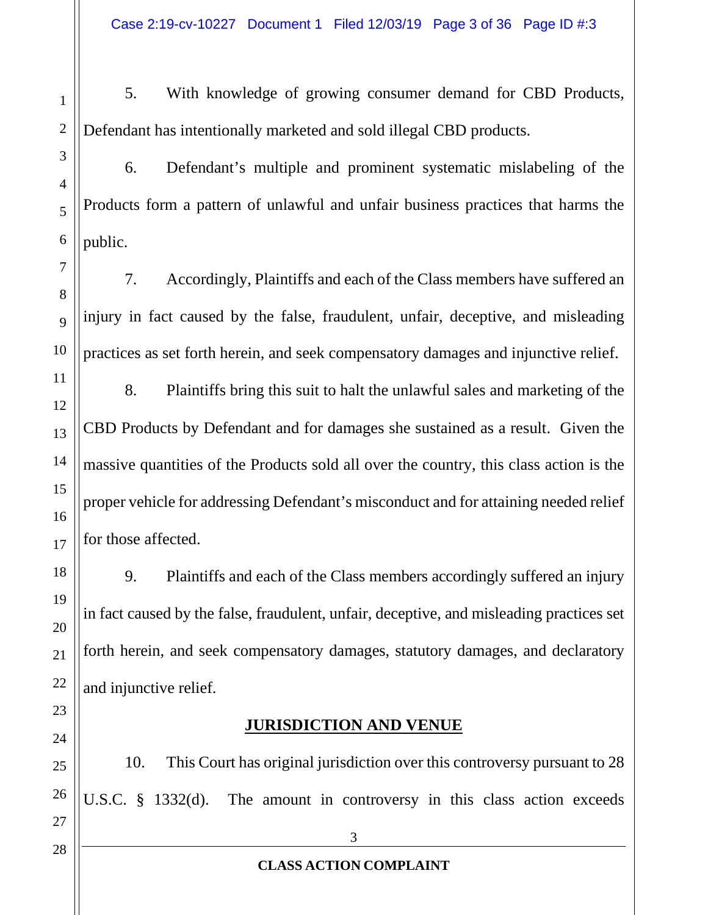5. With knowledge of growing consumer demand for CBD Products, Defendant has intentionally marketed and sold illegal CBD products.

6. Defendant's multiple and prominent systematic mislabeling of the Products form a pattern of unlawful and unfair business practices that harms the public.

7. Accordingly, Plaintiffs and each of the Class members have suffered an injury in fact caused by the false, fraudulent, unfair, deceptive, and misleading practices as set forth herein, and seek compensatory damages and injunctive relief.

8. Plaintiffs bring this suit to halt the unlawful sales and marketing of the CBD Products by Defendant and for damages she sustained as a result. Given the massive quantities of the Products sold all over the country, this class action is the proper vehicle for addressing Defendant's misconduct and for attaining needed relief for those affected.

9. Plaintiffs and each of the Class members accordingly suffered an injury in fact caused by the false, fraudulent, unfair, deceptive, and misleading practices set forth herein, and seek compensatory damages, statutory damages, and declaratory and injunctive relief.

# **JURISDICTION AND VENUE**

10. This Court has original jurisdiction over this controversy pursuant to 28 U.S.C. § 1332(d). The amount in controversy in this class action exceeds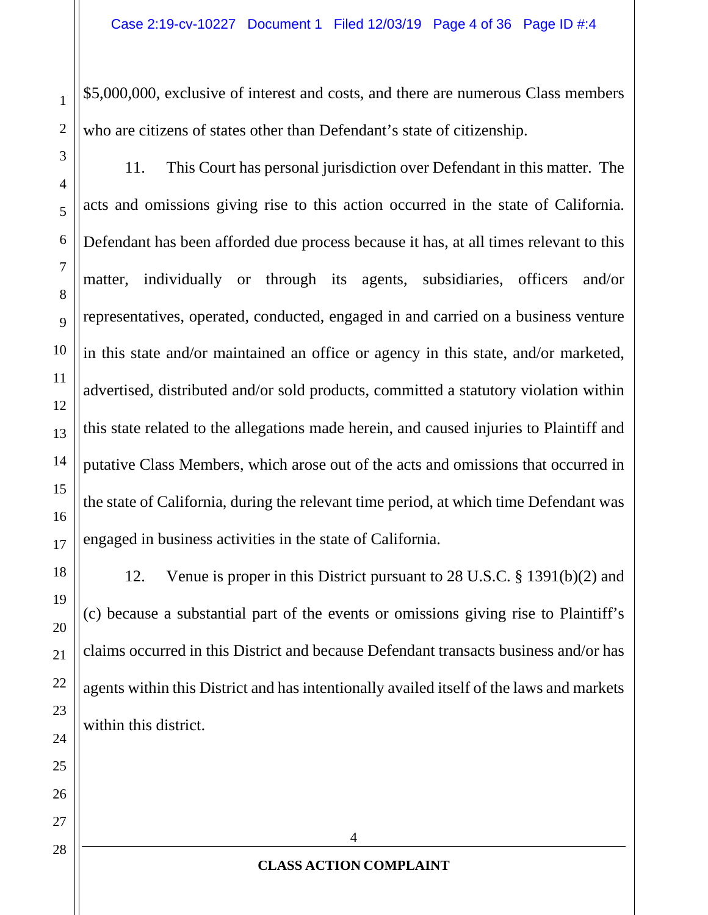\$5,000,000, exclusive of interest and costs, and there are numerous Class members who are citizens of states other than Defendant's state of citizenship.

11. This Court has personal jurisdiction over Defendant in this matter. The acts and omissions giving rise to this action occurred in the state of California. Defendant has been afforded due process because it has, at all times relevant to this matter, individually or through its agents, subsidiaries, officers and/or representatives, operated, conducted, engaged in and carried on a business venture in this state and/or maintained an office or agency in this state, and/or marketed, advertised, distributed and/or sold products, committed a statutory violation within this state related to the allegations made herein, and caused injuries to Plaintiff and putative Class Members, which arose out of the acts and omissions that occurred in the state of California, during the relevant time period, at which time Defendant was engaged in business activities in the state of California.

12. Venue is proper in this District pursuant to 28 U.S.C. § 1391(b)(2) and (c) because a substantial part of the events or omissions giving rise to Plaintiff's claims occurred in this District and because Defendant transacts business and/or has agents within this District and has intentionally availed itself of the laws and markets within this district.

1

2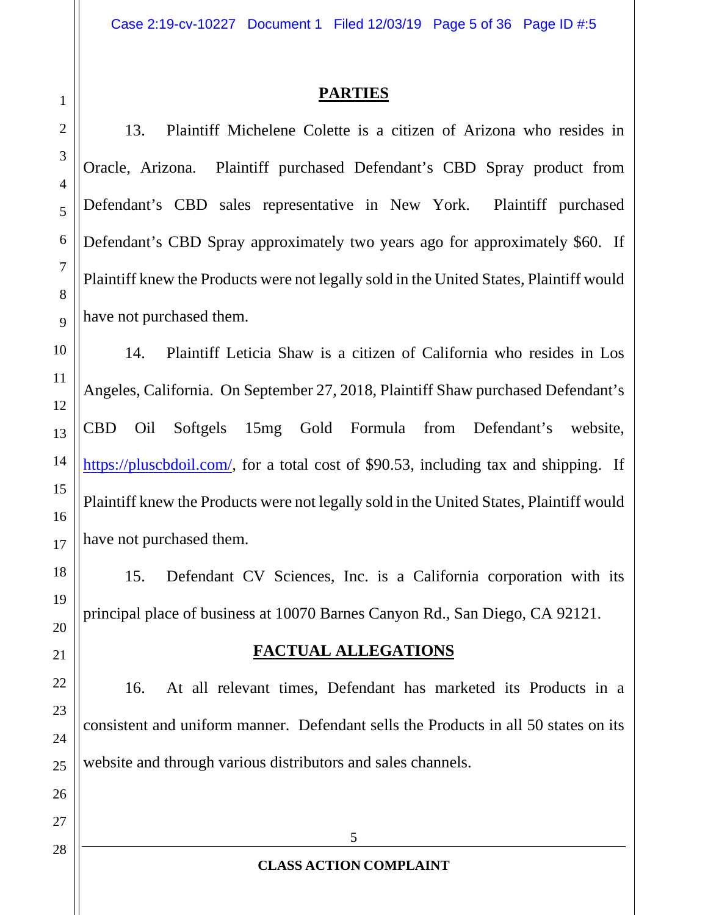### **PARTIES**

13. Plaintiff Michelene Colette is a citizen of Arizona who resides in Oracle, Arizona. Plaintiff purchased Defendant's CBD Spray product from Defendant's CBD sales representative in New York. Plaintiff purchased Defendant's CBD Spray approximately two years ago for approximately \$60. If Plaintiff knew the Products were not legally sold in the United States, Plaintiff would have not purchased them.

14. Plaintiff Leticia Shaw is a citizen of California who resides in Los Angeles, California. On September 27, 2018, Plaintiff Shaw purchased Defendant's CBD Oil Softgels 15mg Gold Formula from Defendant's website, https://pluscbdoil.com/, for a total cost of \$90.53, including tax and shipping. If Plaintiff knew the Products were not legally sold in the United States, Plaintiff would have not purchased them.

15. Defendant CV Sciences, Inc. is a California corporation with its principal place of business at 10070 Barnes Canyon Rd., San Diego, CA 92121.

# **FACTUAL ALLEGATIONS**

16. At all relevant times, Defendant has marketed its Products in a consistent and uniform manner. Defendant sells the Products in all 50 states on its website and through various distributors and sales channels.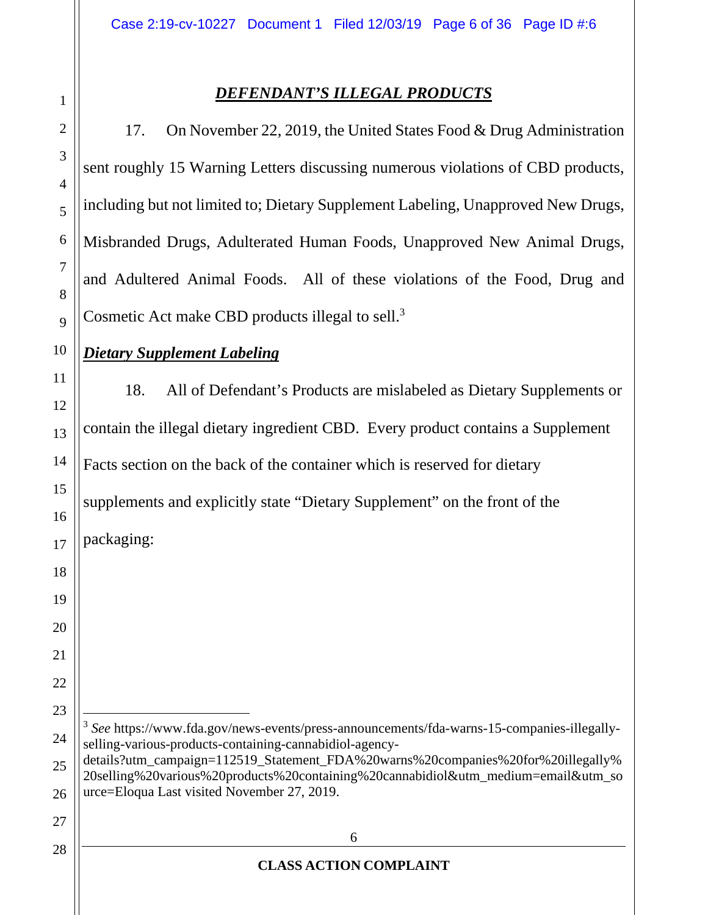### *DEFENDANT'S ILLEGAL PRODUCTS*

17. On November 22, 2019, the United States Food & Drug Administration sent roughly 15 Warning Letters discussing numerous violations of CBD products, including but not limited to; Dietary Supplement Labeling, Unapproved New Drugs, Misbranded Drugs, Adulterated Human Foods, Unapproved New Animal Drugs, and Adultered Animal Foods. All of these violations of the Food, Drug and Cosmetic Act make CBD products illegal to sell.<sup>3</sup>

#### *Dietary Supplement Labeling*

18. All of Defendant's Products are mislabeled as Dietary Supplements or contain the illegal dietary ingredient CBD. Every product contains a Supplement Facts section on the back of the container which is reserved for dietary supplements and explicitly state "Dietary Supplement" on the front of the packaging: <sup>3</sup> See https://www.fda.gov/news-events/press-announcements/fda-warns-15-companies-illegallyselling-various-products-containing-cannabidiol-agencydetails?utm\_campaign=112519\_Statement\_FDA%20warns%20companies%20for%20illegally% 20selling%20various%20products%20containing%20cannabidiol&utm\_medium=email&utm\_so urce=Eloqua Last visited November 27, 2019.

#### **CLASS ACTION COMPLAINT**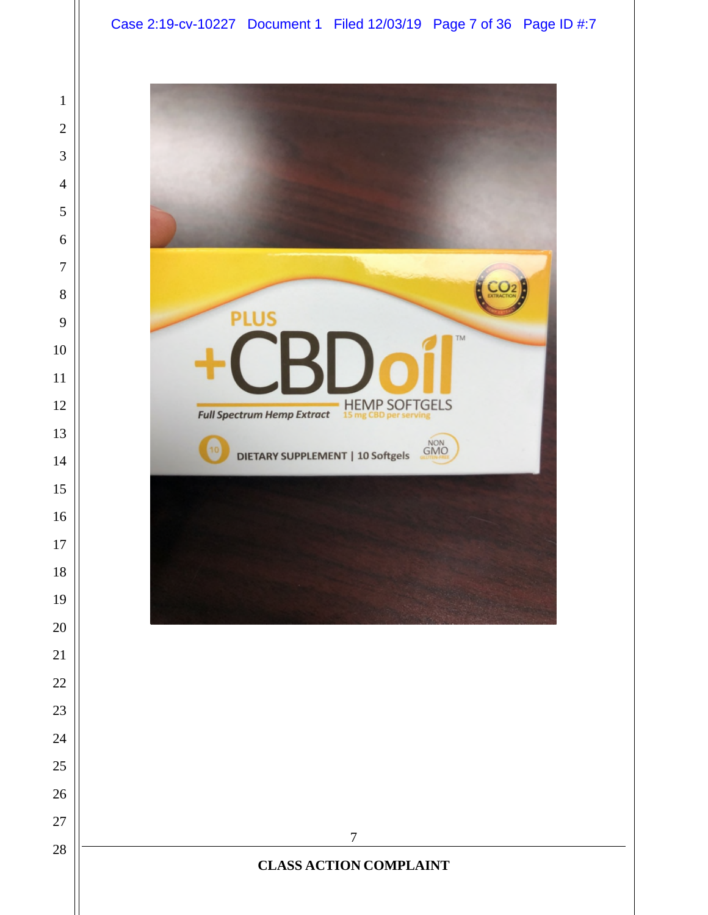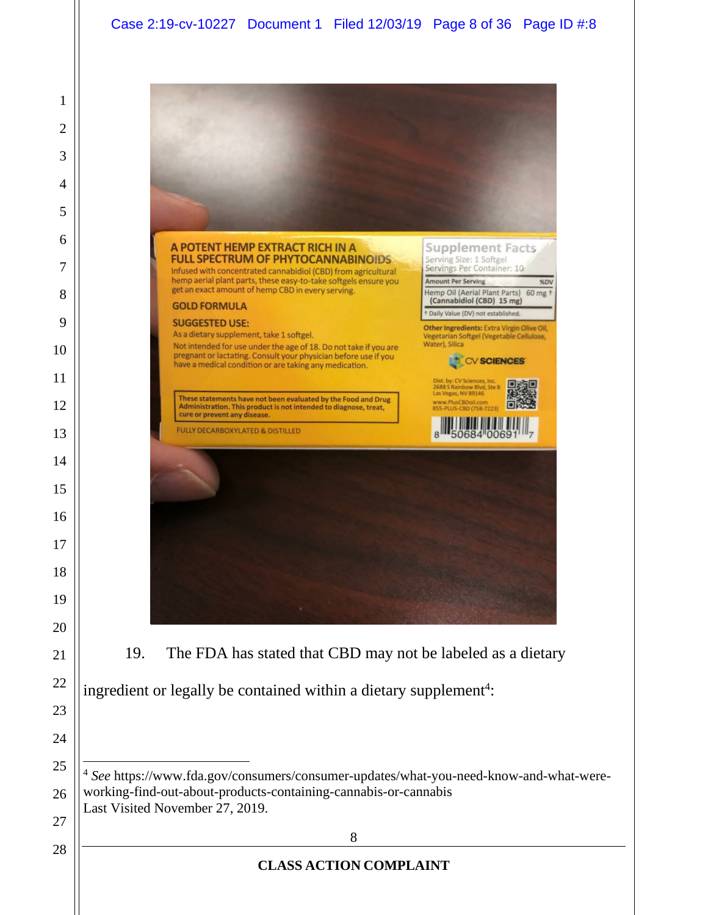

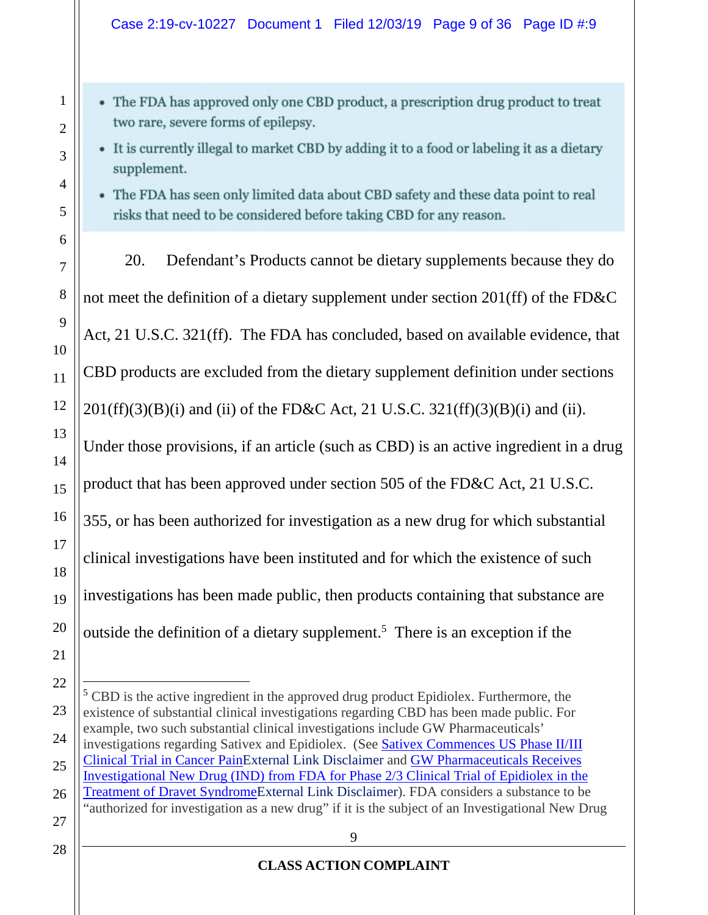#### Case 2:19-cv-10227 Document 1 Filed 12/03/19 Page 9 of 36 Page ID #:9

- The FDA has approved only one CBD product, a prescription drug product to treat two rare, severe forms of epilepsy.
- It is currently illegal to market CBD by adding it to a food or labeling it as a dietary supplement.
- The FDA has seen only limited data about CBD safety and these data point to real risks that need to be considered before taking CBD for any reason.

20. Defendant's Products cannot be dietary supplements because they do not meet the definition of a dietary supplement under section 201(ff) of the FD&C Act, 21 U.S.C. 321(ff). The FDA has concluded, based on available evidence, that CBD products are excluded from the dietary supplement definition under sections  $201(ff)(3)(B)(i)$  and (ii) of the FD&C Act, 21 U.S.C. 321(ff)(3)(B)(i) and (ii). Under those provisions, if an article (such as CBD) is an active ingredient in a drug product that has been approved under section 505 of the FD&C Act, 21 U.S.C. 355, or has been authorized for investigation as a new drug for which substantial clinical investigations have been instituted and for which the existence of such investigations has been made public, then products containing that substance are outside the definition of a dietary supplement.<sup>5</sup> There is an exception if the

<sup>5</sup> CBD is the active ingredient in the approved drug product Epidiolex. Furthermore, the existence of substantial clinical investigations regarding CBD has been made public. For example, two such substantial clinical investigations include GW Pharmaceuticals' investigations regarding Sativex and Epidiolex. (See Sativex Commences US Phase II/III Clinical Trial in Cancer PainExternal Link Disclaimer and GW Pharmaceuticals Receives Investigational New Drug (IND) from FDA for Phase 2/3 Clinical Trial of Epidiolex in the Treatment of Dravet SyndromeExternal Link Disclaimer). FDA considers a substance to be "authorized for investigation as a new drug" if it is the subject of an Investigational New Drug

#### **CLASS ACTION COMPLAINT**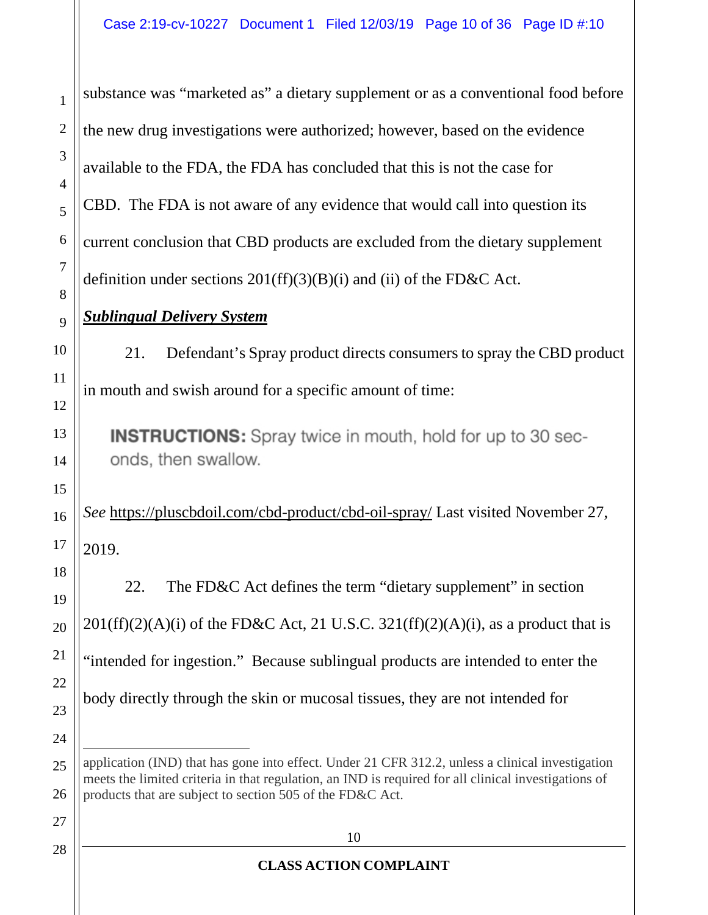substance was "marketed as" a dietary supplement or as a conventional food before 1 2 the new drug investigations were authorized; however, based on the evidence 3 available to the FDA, the FDA has concluded that this is not the case for 4 CBD. The FDA is not aware of any evidence that would call into question its 5 6 current conclusion that CBD products are excluded from the dietary supplement 7 definition under sections  $201(ff)(3)(B)(i)$  and (ii) of the FD&C Act. 8 *Sublingual Delivery System* 9 10 21. Defendant's Spray product directs consumers to spray the CBD product 11 in mouth and swish around for a specific amount of time: 12 13 **INSTRUCTIONS:** Spray twice in mouth, hold for up to 30 seconds, then swallow. 14 15 *See* https://pluscbdoil.com/cbd-product/cbd-oil-spray/ Last visited November 27, 16 17 2019. 18 22. The FD&C Act defines the term "dietary supplement" in section 19  $201(ff)(2)(A)(i)$  of the FD&C Act, 21 U.S.C. 321(ff)(2)(A)(i), as a product that is 20 21 "intended for ingestion." Because sublingual products are intended to enter the 22 body directly through the skin or mucosal tissues, they are not intended for 23 24 application (IND) that has gone into effect. Under 21 CFR 312.2, unless a clinical investigation 25 meets the limited criteria in that regulation, an IND is required for all clinical investigations of 26 products that are subject to section 505 of the FD&C Act. 27 10 28 **CLASS ACTION COMPLAINT**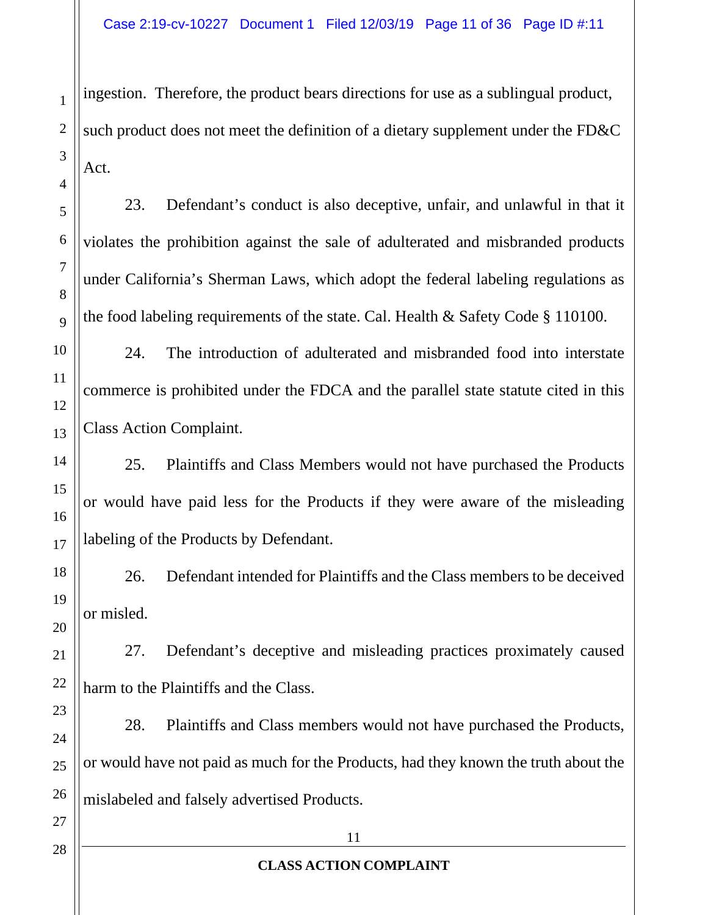ingestion. Therefore, the product bears directions for use as a sublingual product, such product does not meet the definition of a dietary supplement under the FD&C Act.

23. Defendant's conduct is also deceptive, unfair, and unlawful in that it violates the prohibition against the sale of adulterated and misbranded products under California's Sherman Laws, which adopt the federal labeling regulations as the food labeling requirements of the state. Cal. Health & Safety Code § 110100.

24. The introduction of adulterated and misbranded food into interstate commerce is prohibited under the FDCA and the parallel state statute cited in this Class Action Complaint.

25. Plaintiffs and Class Members would not have purchased the Products or would have paid less for the Products if they were aware of the misleading labeling of the Products by Defendant.

26. Defendant intended for Plaintiffs and the Class members to be deceived or misled.

27. Defendant's deceptive and misleading practices proximately caused harm to the Plaintiffs and the Class.

28. Plaintiffs and Class members would not have purchased the Products, or would have not paid as much for the Products, had they known the truth about the mislabeled and falsely advertised Products.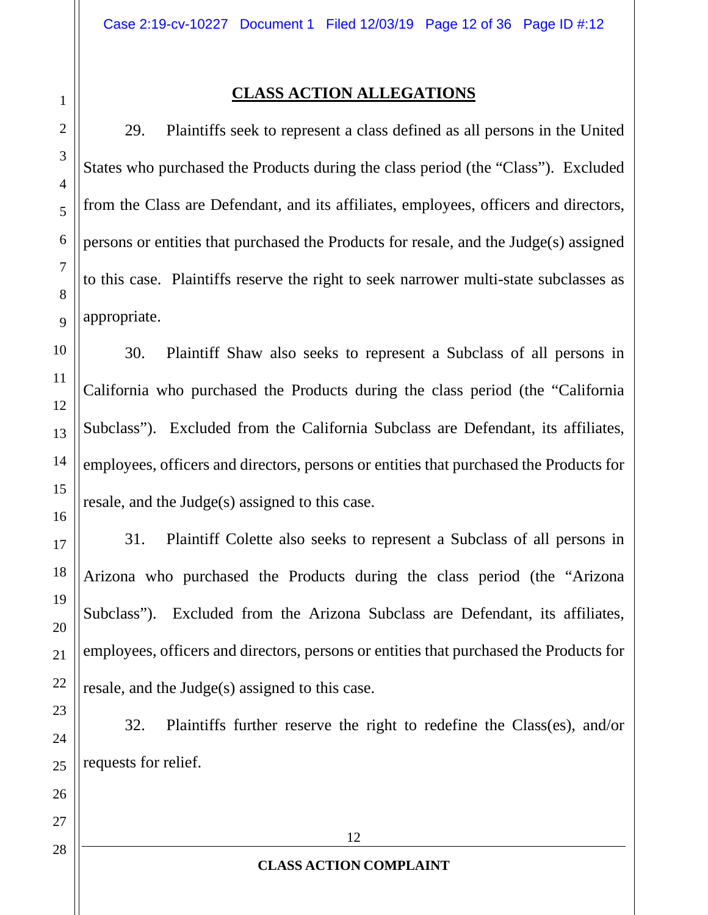### **CLASS ACTION ALLEGATIONS**

29. Plaintiffs seek to represent a class defined as all persons in the United States who purchased the Products during the class period (the "Class"). Excluded from the Class are Defendant, and its affiliates, employees, officers and directors, persons or entities that purchased the Products for resale, and the Judge(s) assigned to this case. Plaintiffs reserve the right to seek narrower multi-state subclasses as appropriate.

30. Plaintiff Shaw also seeks to represent a Subclass of all persons in California who purchased the Products during the class period (the "California Subclass"). Excluded from the California Subclass are Defendant, its affiliates, employees, officers and directors, persons or entities that purchased the Products for resale, and the Judge(s) assigned to this case.

31. Plaintiff Colette also seeks to represent a Subclass of all persons in Arizona who purchased the Products during the class period (the "Arizona Subclass"). Excluded from the Arizona Subclass are Defendant, its affiliates, employees, officers and directors, persons or entities that purchased the Products for resale, and the Judge(s) assigned to this case.

32. Plaintiffs further reserve the right to redefine the Class(es), and/or requests for relief.

1

2

3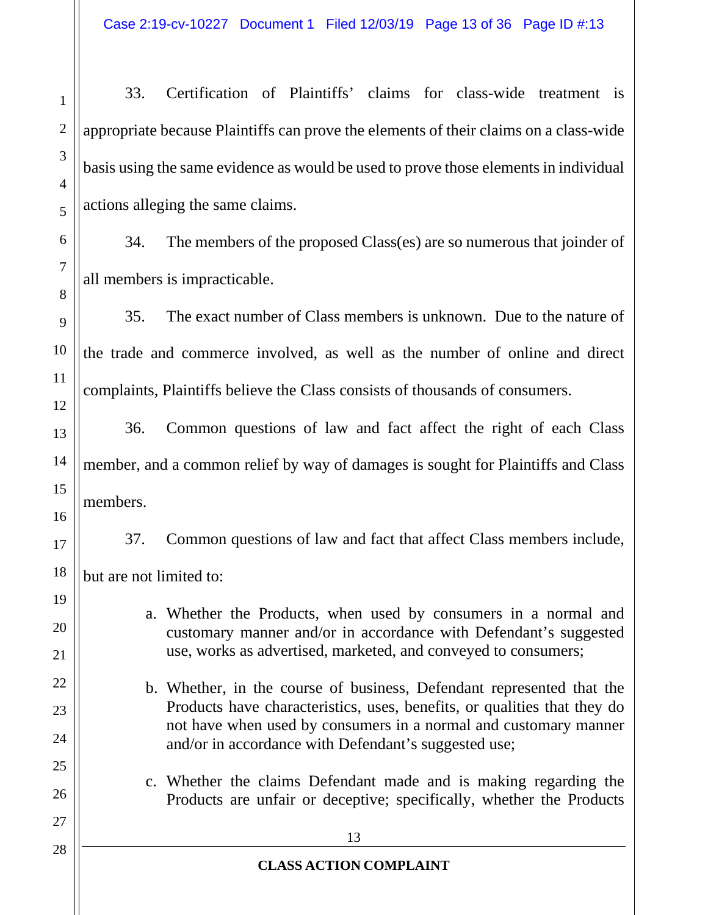33. Certification of Plaintiffs' claims for class-wide treatment is appropriate because Plaintiffs can prove the elements of their claims on a class-wide basis using the same evidence as would be used to prove those elements in individual actions alleging the same claims.

34. The members of the proposed Class(es) are so numerous that joinder of all members is impracticable.

35. The exact number of Class members is unknown. Due to the nature of the trade and commerce involved, as well as the number of online and direct complaints, Plaintiffs believe the Class consists of thousands of consumers.

36. Common questions of law and fact affect the right of each Class member, and a common relief by way of damages is sought for Plaintiffs and Class members.

37. Common questions of law and fact that affect Class members include,

but are not limited to:

- a. Whether the Products, when used by consumers in a normal and customary manner and/or in accordance with Defendant's suggested use, works as advertised, marketed, and conveyed to consumers;
- b. Whether, in the course of business, Defendant represented that the Products have characteristics, uses, benefits, or qualities that they do not have when used by consumers in a normal and customary manner and/or in accordance with Defendant's suggested use;
	- c. Whether the claims Defendant made and is making regarding the Products are unfair or deceptive; specifically, whether the Products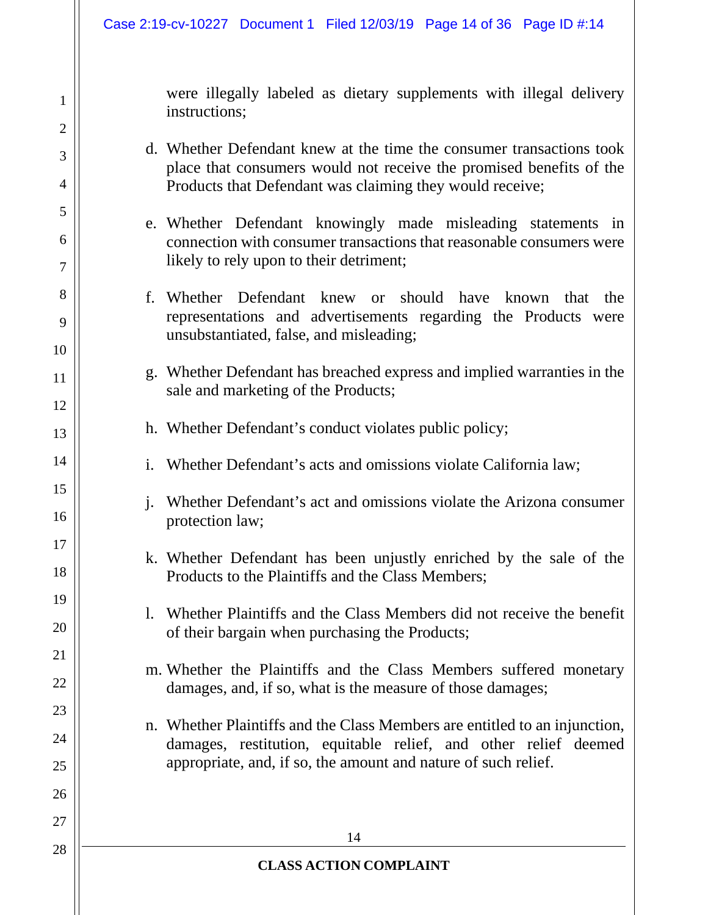1

2

3

4

5

6

7

8

9

10

11

12

13

14

15

16

17

18

19

20

21

22

23

24

25

26

27

28

were illegally labeled as dietary supplements with illegal delivery instructions;

- d. Whether Defendant knew at the time the consumer transactions took place that consumers would not receive the promised benefits of the Products that Defendant was claiming they would receive;
- e. Whether Defendant knowingly made misleading statements in connection with consumer transactions that reasonable consumers were likely to rely upon to their detriment;
- f. Whether Defendant knew or should have known that the representations and advertisements regarding the Products were unsubstantiated, false, and misleading;
- g. Whether Defendant has breached express and implied warranties in the sale and marketing of the Products;
- h. Whether Defendant's conduct violates public policy;
- i. Whether Defendant's acts and omissions violate California law;
- j. Whether Defendant's act and omissions violate the Arizona consumer protection law;
- k. Whether Defendant has been unjustly enriched by the sale of the Products to the Plaintiffs and the Class Members;
- l. Whether Plaintiffs and the Class Members did not receive the benefit of their bargain when purchasing the Products;
- m. Whether the Plaintiffs and the Class Members suffered monetary damages, and, if so, what is the measure of those damages;
- n. Whether Plaintiffs and the Class Members are entitled to an injunction, damages, restitution, equitable relief, and other relief deemed appropriate, and, if so, the amount and nature of such relief.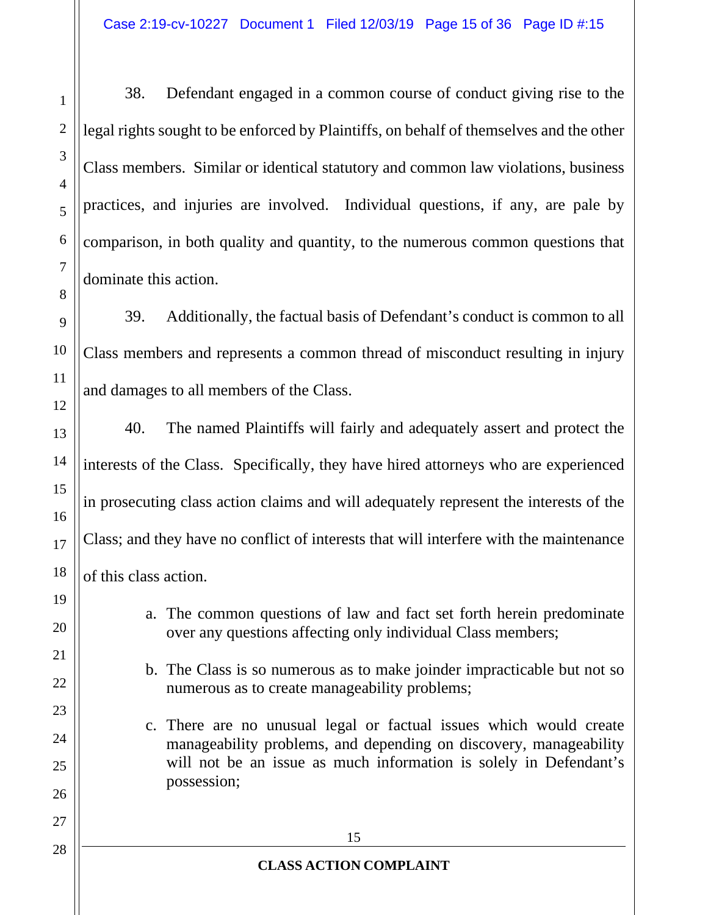38. Defendant engaged in a common course of conduct giving rise to the legal rights sought to be enforced by Plaintiffs, on behalf of themselves and the other Class members. Similar or identical statutory and common law violations, business practices, and injuries are involved. Individual questions, if any, are pale by comparison, in both quality and quantity, to the numerous common questions that dominate this action.

39. Additionally, the factual basis of Defendant's conduct is common to all Class members and represents a common thread of misconduct resulting in injury and damages to all members of the Class.

40. The named Plaintiffs will fairly and adequately assert and protect the interests of the Class. Specifically, they have hired attorneys who are experienced in prosecuting class action claims and will adequately represent the interests of the Class; and they have no conflict of interests that will interfere with the maintenance of this class action.

- a. The common questions of law and fact set forth herein predominate over any questions affecting only individual Class members;
- b. The Class is so numerous as to make joinder impracticable but not so numerous as to create manageability problems;
- c. There are no unusual legal or factual issues which would create manageability problems, and depending on discovery, manageability will not be an issue as much information is solely in Defendant's possession;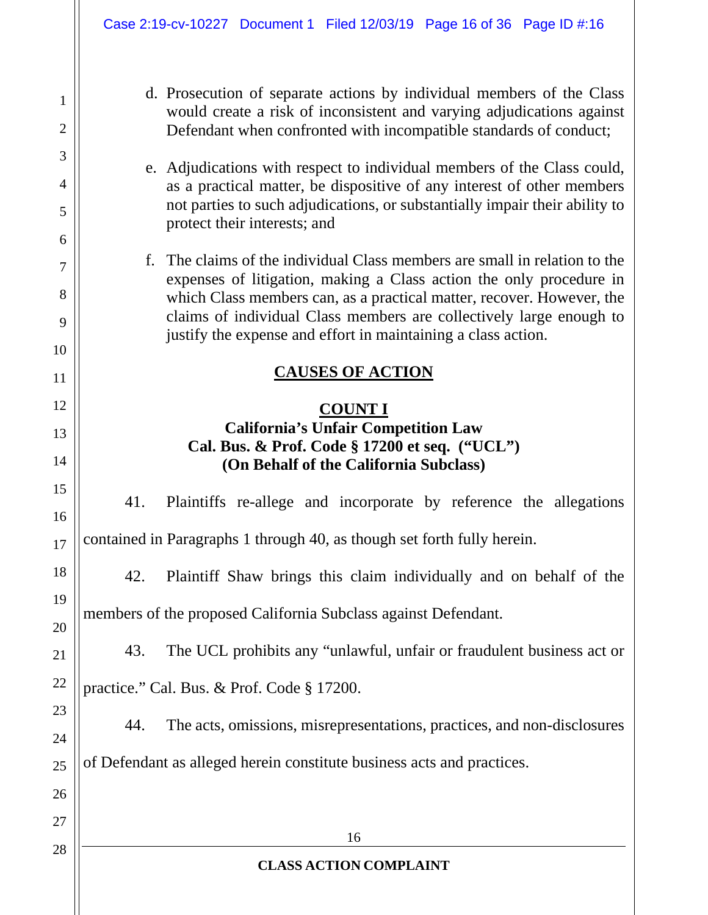- d. Prosecution of separate actions by individual members of the Class would create a risk of inconsistent and varying adjudications against Defendant when confronted with incompatible standards of conduct;
- e. Adjudications with respect to individual members of the Class could, as a practical matter, be dispositive of any interest of other members not parties to such adjudications, or substantially impair their ability to protect their interests; and
- f. The claims of the individual Class members are small in relation to the expenses of litigation, making a Class action the only procedure in which Class members can, as a practical matter, recover. However, the claims of individual Class members are collectively large enough to justify the expense and effort in maintaining a class action.

### **CAUSES OF ACTION**

### **COUNT I California's Unfair Competition Law Cal. Bus. & Prof. Code § 17200 et seq. ("UCL") (On Behalf of the California Subclass)**

41. Plaintiffs re-allege and incorporate by reference the allegations contained in Paragraphs 1 through 40, as though set forth fully herein.

42. Plaintiff Shaw brings this claim individually and on behalf of the members of the proposed California Subclass against Defendant.

43. The UCL prohibits any "unlawful, unfair or fraudulent business act or

practice." Cal. Bus. & Prof. Code § 17200.

1

2

3

4

5

6

7

8

9

10

11

12

13

14

15

16

17

18

19

20

21

22

23

24

25

26

27

28

44. The acts, omissions, misrepresentations, practices, and non-disclosures of Defendant as alleged herein constitute business acts and practices.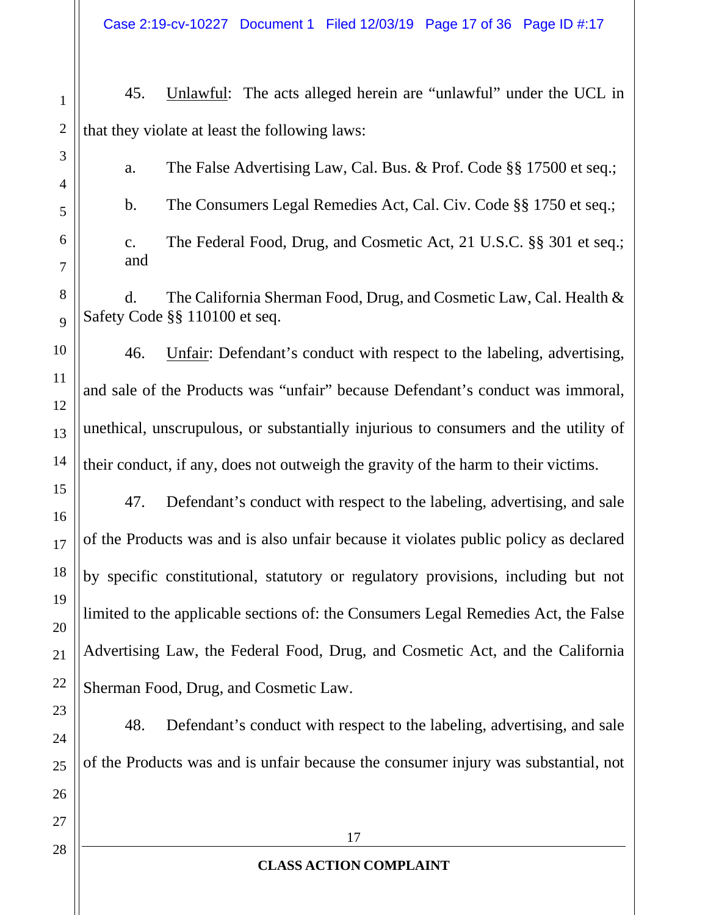Case 2:19-cv-10227 Document 1 Filed 12/03/19 Page 17 of 36 Page ID #:17

45. Unlawful: The acts alleged herein are "unlawful" under the UCL in that they violate at least the following laws:

a. The False Advertising Law, Cal. Bus. & Prof. Code §§ 17500 et seq.;

b. The Consumers Legal Remedies Act, Cal. Civ. Code §§ 1750 et seq.;

c. The Federal Food, Drug, and Cosmetic Act, 21 U.S.C. §§ 301 et seq.; and

d. The California Sherman Food, Drug, and Cosmetic Law, Cal. Health & Safety Code §§ 110100 et seq.

46. Unfair: Defendant's conduct with respect to the labeling, advertising, and sale of the Products was "unfair" because Defendant's conduct was immoral, unethical, unscrupulous, or substantially injurious to consumers and the utility of their conduct, if any, does not outweigh the gravity of the harm to their victims.

47. Defendant's conduct with respect to the labeling, advertising, and sale of the Products was and is also unfair because it violates public policy as declared by specific constitutional, statutory or regulatory provisions, including but not limited to the applicable sections of: the Consumers Legal Remedies Act, the False Advertising Law, the Federal Food, Drug, and Cosmetic Act, and the California Sherman Food, Drug, and Cosmetic Law.

48. Defendant's conduct with respect to the labeling, advertising, and sale of the Products was and is unfair because the consumer injury was substantial, not

26 27 28

1

2

3

4

5

6

7

8

9

10

11

12

13

14

15

16

17

18

19

20

21

22

23

24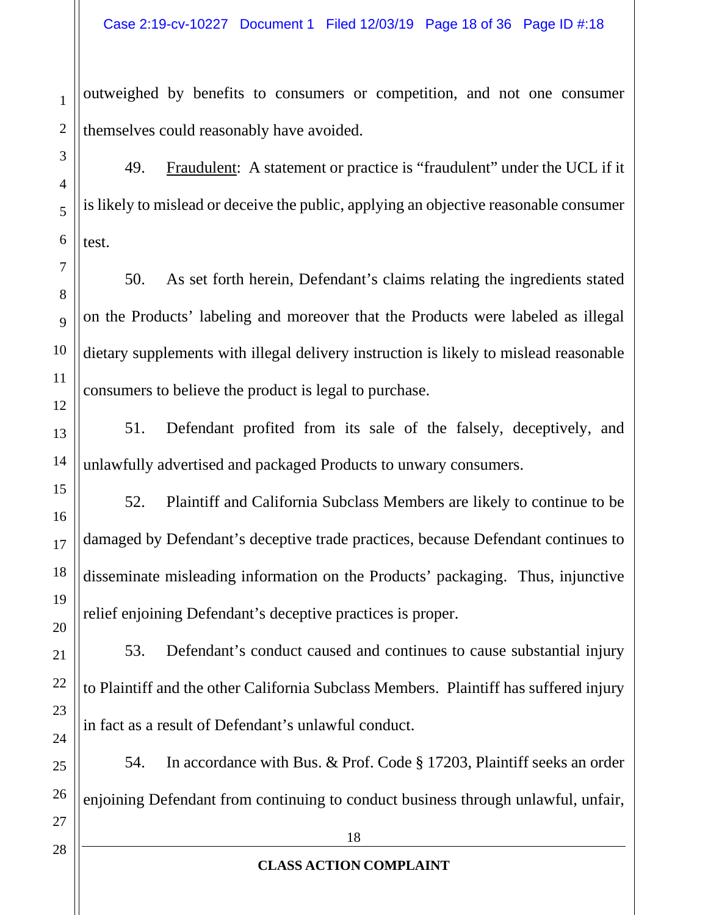outweighed by benefits to consumers or competition, and not one consumer themselves could reasonably have avoided.

49. Fraudulent: A statement or practice is "fraudulent" under the UCL if it is likely to mislead or deceive the public, applying an objective reasonable consumer test.

50. As set forth herein, Defendant's claims relating the ingredients stated on the Products' labeling and moreover that the Products were labeled as illegal dietary supplements with illegal delivery instruction is likely to mislead reasonable consumers to believe the product is legal to purchase.

51. Defendant profited from its sale of the falsely, deceptively, and unlawfully advertised and packaged Products to unwary consumers.

52. Plaintiff and California Subclass Members are likely to continue to be damaged by Defendant's deceptive trade practices, because Defendant continues to disseminate misleading information on the Products' packaging. Thus, injunctive relief enjoining Defendant's deceptive practices is proper.

53. Defendant's conduct caused and continues to cause substantial injury to Plaintiff and the other California Subclass Members. Plaintiff has suffered injury in fact as a result of Defendant's unlawful conduct.

54. In accordance with Bus. & Prof. Code § 17203, Plaintiff seeks an order enjoining Defendant from continuing to conduct business through unlawful, unfair,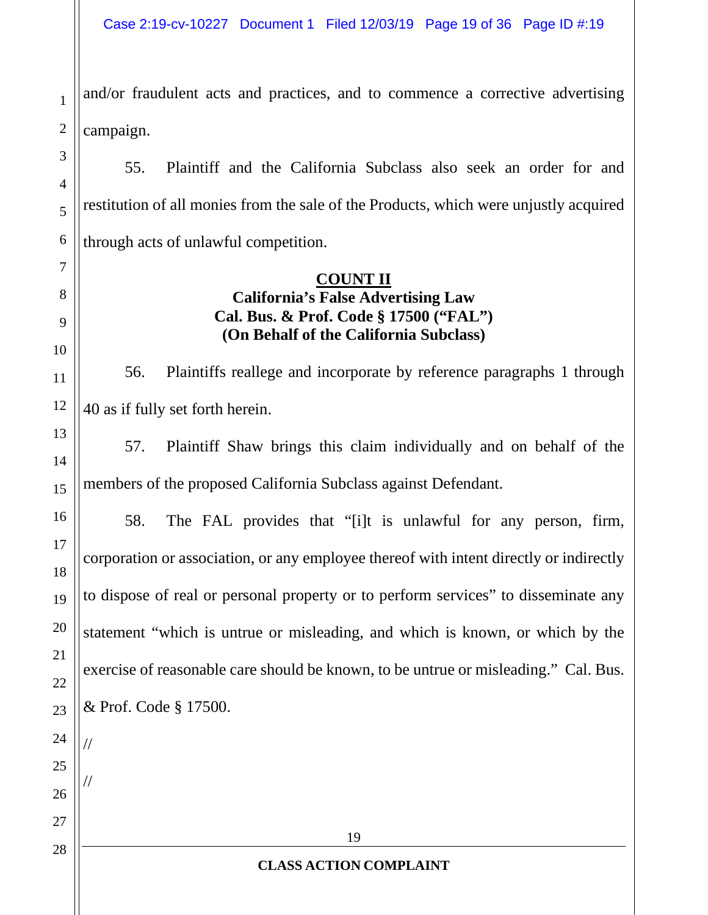and/or fraudulent acts and practices, and to commence a corrective advertising campaign.

55. Plaintiff and the California Subclass also seek an order for and restitution of all monies from the sale of the Products, which were unjustly acquired through acts of unlawful competition.

#### **COUNT II California's False Advertising Law Cal. Bus. & Prof. Code § 17500 ("FAL") (On Behalf of the California Subclass)**

56. Plaintiffs reallege and incorporate by reference paragraphs 1 through 40 as if fully set forth herein.

57. Plaintiff Shaw brings this claim individually and on behalf of the members of the proposed California Subclass against Defendant.

58. The FAL provides that "[i]t is unlawful for any person, firm, corporation or association, or any employee thereof with intent directly or indirectly to dispose of real or personal property or to perform services" to disseminate any statement "which is untrue or misleading, and which is known, or which by the exercise of reasonable care should be known, to be untrue or misleading." Cal. Bus. & Prof. Code § 17500.

//

//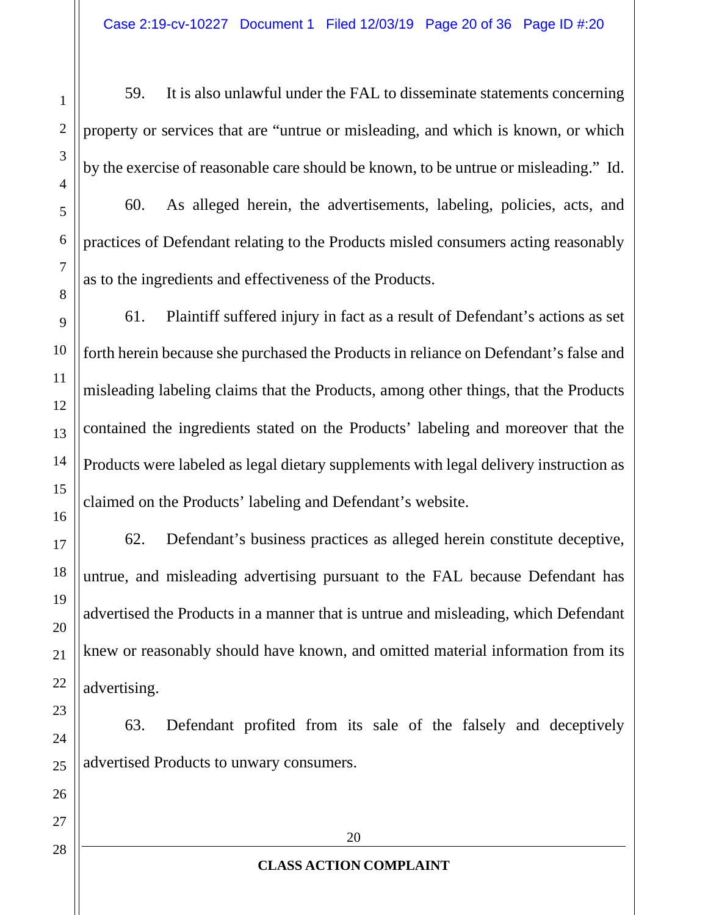59. It is also unlawful under the FAL to disseminate statements concerning property or services that are "untrue or misleading, and which is known, or which by the exercise of reasonable care should be known, to be untrue or misleading." Id. 60. As alleged herein, the advertisements, labeling, policies, acts, and

practices of Defendant relating to the Products misled consumers acting reasonably as to the ingredients and effectiveness of the Products.

61. Plaintiff suffered injury in fact as a result of Defendant's actions as set forth herein because she purchased the Products in reliance on Defendant's false and misleading labeling claims that the Products, among other things, that the Products contained the ingredients stated on the Products' labeling and moreover that the Products were labeled as legal dietary supplements with legal delivery instruction as claimed on the Products' labeling and Defendant's website.

62. Defendant's business practices as alleged herein constitute deceptive, untrue, and misleading advertising pursuant to the FAL because Defendant has advertised the Products in a manner that is untrue and misleading, which Defendant knew or reasonably should have known, and omitted material information from its advertising.

63. Defendant profited from its sale of the falsely and deceptively advertised Products to unwary consumers.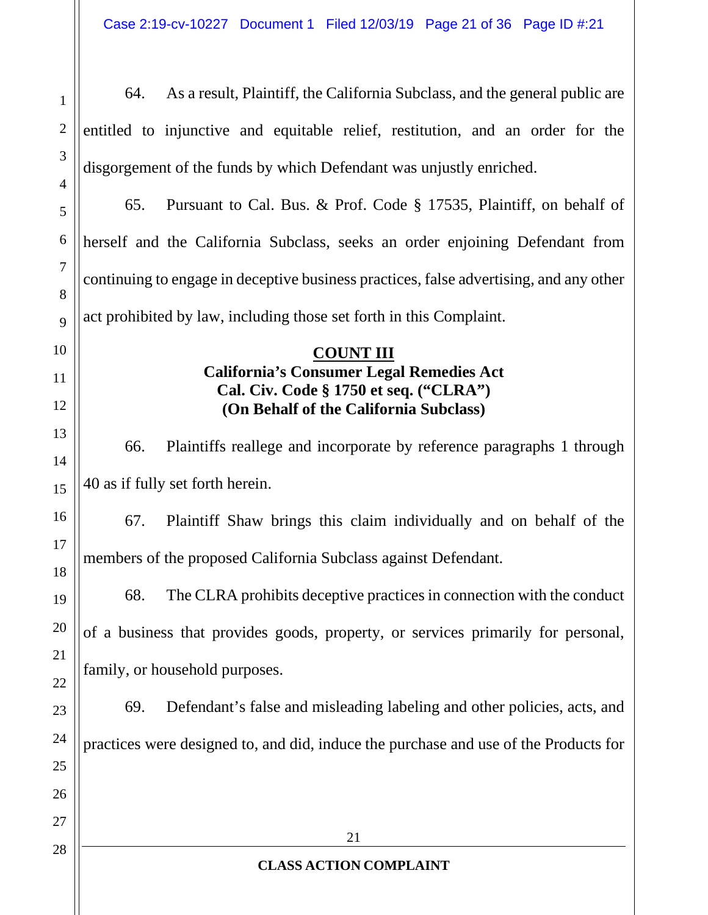Ш

| $\mathbf{1}$        | As a result, Plaintiff, the California Subclass, and the general public are<br>64.        |  |  |  |
|---------------------|-------------------------------------------------------------------------------------------|--|--|--|
| $\overline{2}$      | entitled to injunctive and equitable relief, restitution, and an order for the            |  |  |  |
| 3<br>$\overline{4}$ | disgorgement of the funds by which Defendant was unjustly enriched.                       |  |  |  |
| 5                   | Pursuant to Cal. Bus. & Prof. Code § 17535, Plaintiff, on behalf of<br>65.                |  |  |  |
| 6                   | herself and the California Subclass, seeks an order enjoining Defendant from              |  |  |  |
| $\overline{7}$<br>8 | continuing to engage in deceptive business practices, false advertising, and any other    |  |  |  |
| 9                   | act prohibited by law, including those set forth in this Complaint.                       |  |  |  |
| 10                  | <b>COUNT III</b>                                                                          |  |  |  |
| 11                  | <b>California's Consumer Legal Remedies Act</b><br>Cal. Civ. Code § 1750 et seq. ("CLRA") |  |  |  |
| 12                  | (On Behalf of the California Subclass)                                                    |  |  |  |
| 13                  | 66.<br>Plaintiffs reallege and incorporate by reference paragraphs 1 through              |  |  |  |
| 14<br>15            | 40 as if fully set forth herein.                                                          |  |  |  |
| 16                  | Plaintiff Shaw brings this claim individually and on behalf of the<br>67.                 |  |  |  |
| 17                  | members of the proposed California Subclass against Defendant.                            |  |  |  |
| 18<br>19            | The CLRA prohibits deceptive practices in connection with the conduct<br>68.              |  |  |  |
| 20                  | of a business that provides goods, property, or services primarily for personal,          |  |  |  |
| 21                  |                                                                                           |  |  |  |
| 22                  | family, or household purposes.                                                            |  |  |  |
| 23                  | Defendant's false and misleading labeling and other policies, acts, and<br>69.            |  |  |  |
| 24                  | practices were designed to, and did, induce the purchase and use of the Products for      |  |  |  |
| 25                  |                                                                                           |  |  |  |
| 26                  |                                                                                           |  |  |  |
| 27                  | 21                                                                                        |  |  |  |
| 28                  | <b>CLASS ACTION COMPLAINT</b>                                                             |  |  |  |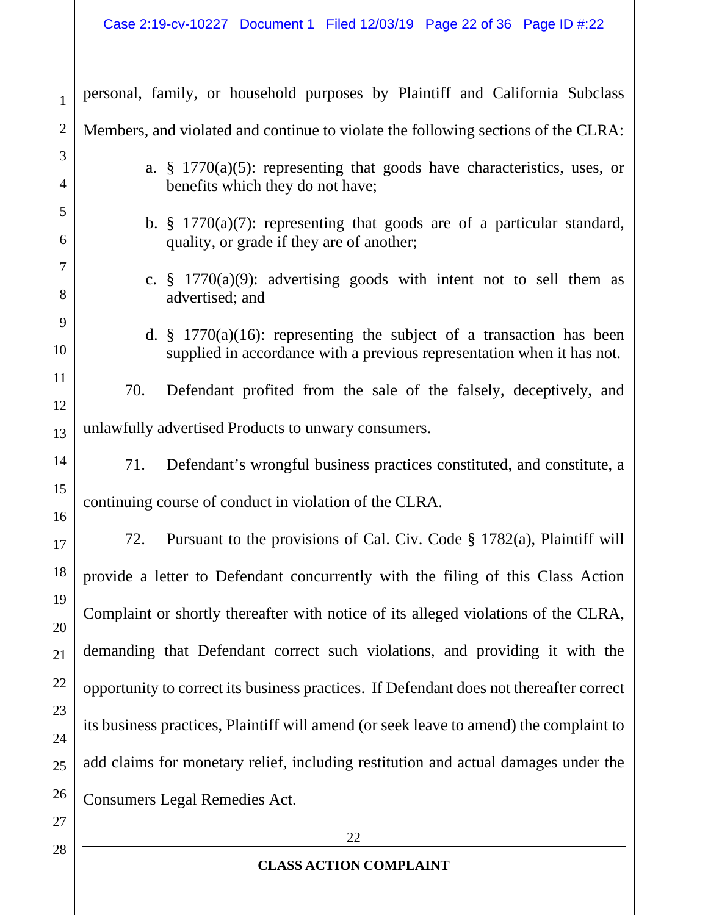| $\mathbf{1}$   | personal, family, or household purposes by Plaintiff and California Subclass                                                                               |  |  |  |  |
|----------------|------------------------------------------------------------------------------------------------------------------------------------------------------------|--|--|--|--|
| $\mathbf{2}$   | Members, and violated and continue to violate the following sections of the CLRA:                                                                          |  |  |  |  |
| 3              | a. $\S$ 1770(a)(5): representing that goods have characteristics, uses, or                                                                                 |  |  |  |  |
| $\overline{4}$ | benefits which they do not have;                                                                                                                           |  |  |  |  |
| 5<br>6         | b. $\S$ 1770(a)(7): representing that goods are of a particular standard,<br>quality, or grade if they are of another;                                     |  |  |  |  |
| $\tau$<br>8    | c. $\frac{8}{9}$ 1770(a)(9): advertising goods with intent not to sell them as<br>advertised; and                                                          |  |  |  |  |
| 9<br>10        | d. $\frac{1}{2}$ 1770(a)(16): representing the subject of a transaction has been<br>supplied in accordance with a previous representation when it has not. |  |  |  |  |
| 11<br>12       | 70.<br>Defendant profited from the sale of the falsely, deceptively, and                                                                                   |  |  |  |  |
| 13             | unlawfully advertised Products to unwary consumers.                                                                                                        |  |  |  |  |
| 14             | Defendant's wrongful business practices constituted, and constitute, a<br>71.                                                                              |  |  |  |  |
| 15<br>16       | continuing course of conduct in violation of the CLRA.                                                                                                     |  |  |  |  |
| 17             | Pursuant to the provisions of Cal. Civ. Code § 1782(a), Plaintiff will<br>72.                                                                              |  |  |  |  |
| 18             | provide a letter to Defendant concurrently with the filing of this Class Action                                                                            |  |  |  |  |
| 19<br>20       | Complaint or shortly thereafter with notice of its alleged violations of the CLRA,                                                                         |  |  |  |  |
| 21             | demanding that Defendant correct such violations, and providing it with the                                                                                |  |  |  |  |
| 22             | opportunity to correct its business practices. If Defendant does not thereafter correct                                                                    |  |  |  |  |
| 23<br>24       | its business practices, Plaintiff will amend (or seek leave to amend) the complaint to                                                                     |  |  |  |  |
| 25             | add claims for monetary relief, including restitution and actual damages under the                                                                         |  |  |  |  |
| 26             | <b>Consumers Legal Remedies Act.</b>                                                                                                                       |  |  |  |  |
| 27             | 22                                                                                                                                                         |  |  |  |  |
|                |                                                                                                                                                            |  |  |  |  |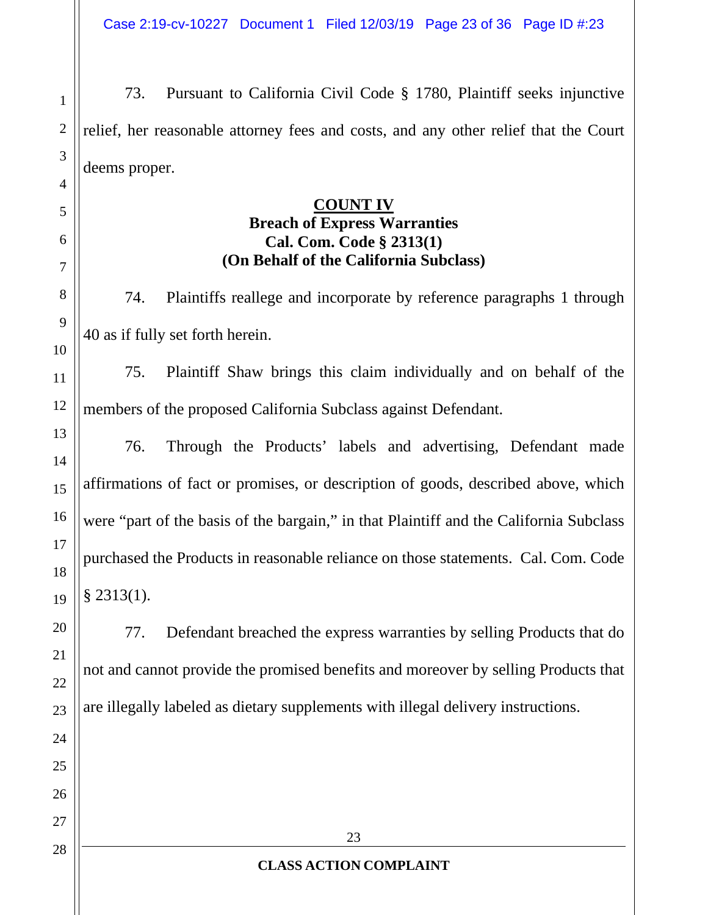Case 2:19-cv-10227 Document 1 Filed 12/03/19 Page 23 of 36 Page ID #:23

73. Pursuant to California Civil Code § 1780, Plaintiff seeks injunctive relief, her reasonable attorney fees and costs, and any other relief that the Court deems proper.

#### **COUNT IV**

### **Breach of Express Warranties Cal. Com. Code § 2313(1) (On Behalf of the California Subclass)**

74. Plaintiffs reallege and incorporate by reference paragraphs 1 through 40 as if fully set forth herein.

75. Plaintiff Shaw brings this claim individually and on behalf of the members of the proposed California Subclass against Defendant.

76. Through the Products' labels and advertising, Defendant made affirmations of fact or promises, or description of goods, described above, which were "part of the basis of the bargain," in that Plaintiff and the California Subclass purchased the Products in reasonable reliance on those statements. Cal. Com. Code § 2313(1).

77. Defendant breached the express warranties by selling Products that do not and cannot provide the promised benefits and moreover by selling Products that are illegally labeled as dietary supplements with illegal delivery instructions.

1

2

3

4

5

6

7

8

9

10

11

12

13

14

15

16

17

18

19

20

21

#### **CLASS ACTION COMPLAINT**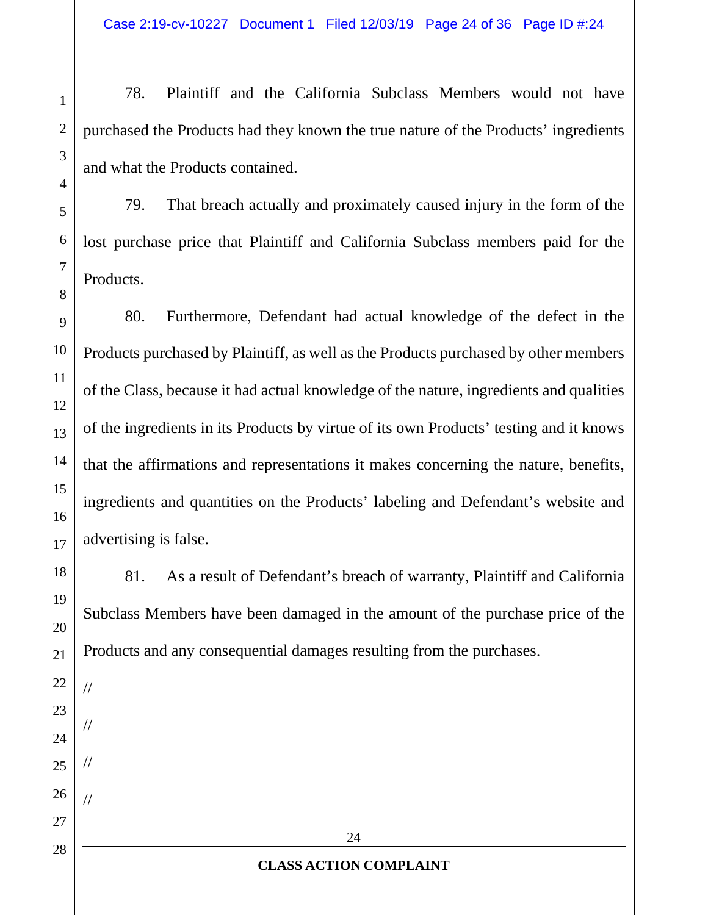78. Plaintiff and the California Subclass Members would not have purchased the Products had they known the true nature of the Products' ingredients and what the Products contained.

79. That breach actually and proximately caused injury in the form of the lost purchase price that Plaintiff and California Subclass members paid for the Products.

80. Furthermore, Defendant had actual knowledge of the defect in the Products purchased by Plaintiff, as well as the Products purchased by other members of the Class, because it had actual knowledge of the nature, ingredients and qualities of the ingredients in its Products by virtue of its own Products' testing and it knows that the affirmations and representations it makes concerning the nature, benefits, ingredients and quantities on the Products' labeling and Defendant's website and advertising is false.

81. As a result of Defendant's breach of warranty, Plaintiff and California Subclass Members have been damaged in the amount of the purchase price of the Products and any consequential damages resulting from the purchases.

27 28

1

2

3

4

5

6

7

8

9

10

11

12

13

14

15

16

17

18

19

20

21

22

//

//

//

//

23

24

25

26

# **CLASS ACTION COMPLAINT**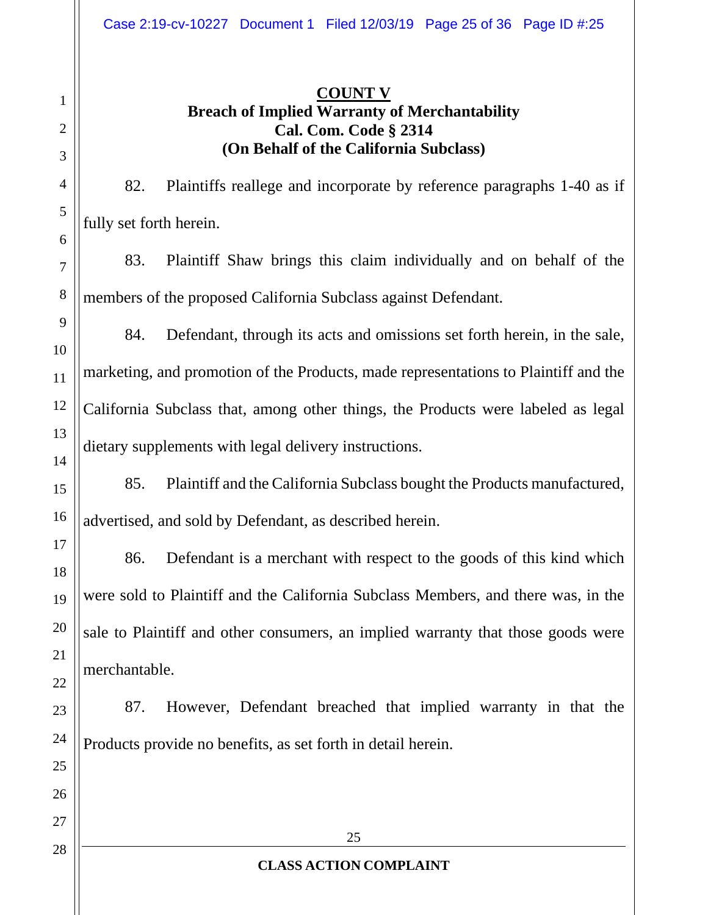### **COUNT V Breach of Implied Warranty of Merchantability Cal. Com. Code § 2314 (On Behalf of the California Subclass)**

82. Plaintiffs reallege and incorporate by reference paragraphs 1-40 as if fully set forth herein.

83. Plaintiff Shaw brings this claim individually and on behalf of the members of the proposed California Subclass against Defendant.

84. Defendant, through its acts and omissions set forth herein, in the sale, marketing, and promotion of the Products, made representations to Plaintiff and the California Subclass that, among other things, the Products were labeled as legal dietary supplements with legal delivery instructions.

85. Plaintiff and the California Subclass bought the Products manufactured, advertised, and sold by Defendant, as described herein.

86. Defendant is a merchant with respect to the goods of this kind which were sold to Plaintiff and the California Subclass Members, and there was, in the sale to Plaintiff and other consumers, an implied warranty that those goods were merchantable.

87. However, Defendant breached that implied warranty in that the Products provide no benefits, as set forth in detail herein.

1

2

3

4

5

6

7

8

9

10

11

12

13

14

15

16

17

18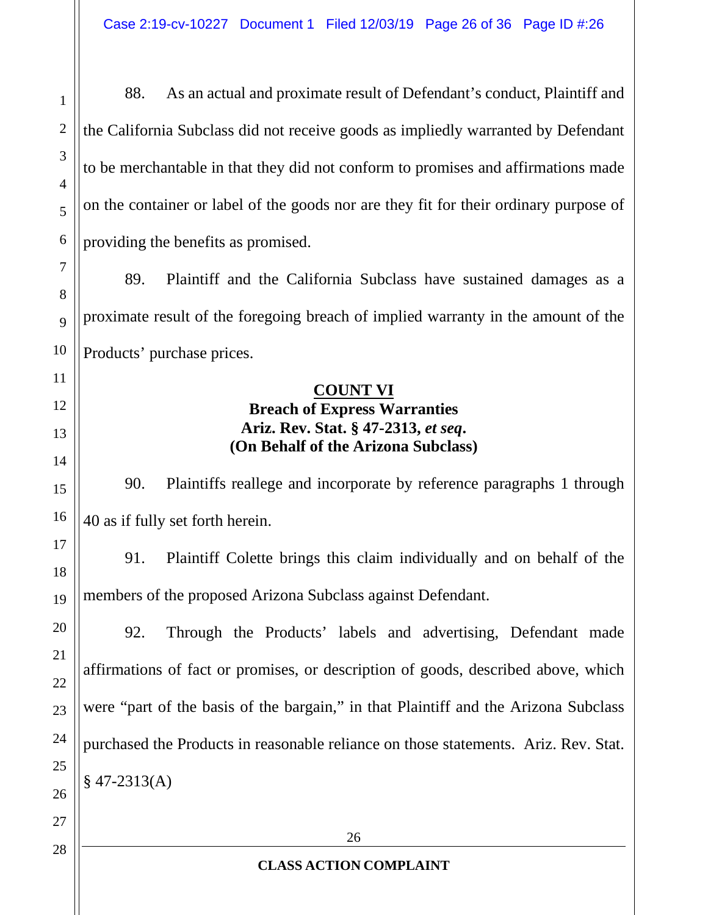88. As an actual and proximate result of Defendant's conduct, Plaintiff and the California Subclass did not receive goods as impliedly warranted by Defendant to be merchantable in that they did not conform to promises and affirmations made on the container or label of the goods nor are they fit for their ordinary purpose of providing the benefits as promised.

89. Plaintiff and the California Subclass have sustained damages as a proximate result of the foregoing breach of implied warranty in the amount of the Products' purchase prices.

#### **COUNT VI Breach of Express Warranties Ariz. Rev. Stat. § 47-2313,** *et seq***. (On Behalf of the Arizona Subclass)**

90. Plaintiffs reallege and incorporate by reference paragraphs 1 through 40 as if fully set forth herein.

91. Plaintiff Colette brings this claim individually and on behalf of the members of the proposed Arizona Subclass against Defendant.

92. Through the Products' labels and advertising, Defendant made affirmations of fact or promises, or description of goods, described above, which were "part of the basis of the bargain," in that Plaintiff and the Arizona Subclass purchased the Products in reasonable reliance on those statements. Ariz. Rev. Stat.  $§$  47-2313(A)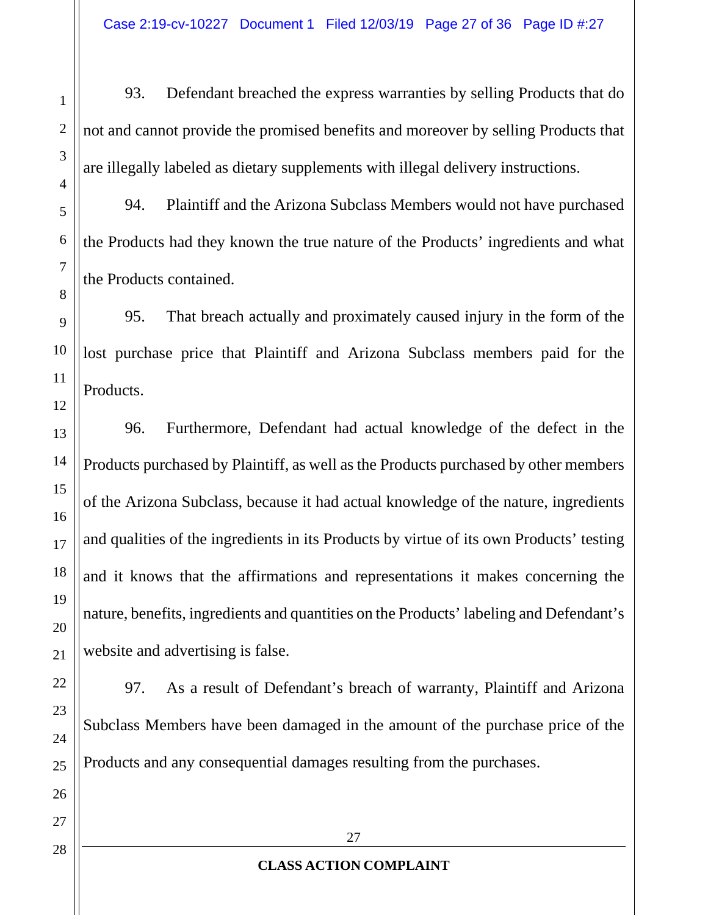93. Defendant breached the express warranties by selling Products that do not and cannot provide the promised benefits and moreover by selling Products that are illegally labeled as dietary supplements with illegal delivery instructions.

94. Plaintiff and the Arizona Subclass Members would not have purchased the Products had they known the true nature of the Products' ingredients and what the Products contained.

95. That breach actually and proximately caused injury in the form of the lost purchase price that Plaintiff and Arizona Subclass members paid for the Products.

96. Furthermore, Defendant had actual knowledge of the defect in the Products purchased by Plaintiff, as well as the Products purchased by other members of the Arizona Subclass, because it had actual knowledge of the nature, ingredients and qualities of the ingredients in its Products by virtue of its own Products' testing and it knows that the affirmations and representations it makes concerning the nature, benefits, ingredients and quantities on the Products' labeling and Defendant's website and advertising is false.

97. As a result of Defendant's breach of warranty, Plaintiff and Arizona Subclass Members have been damaged in the amount of the purchase price of the Products and any consequential damages resulting from the purchases.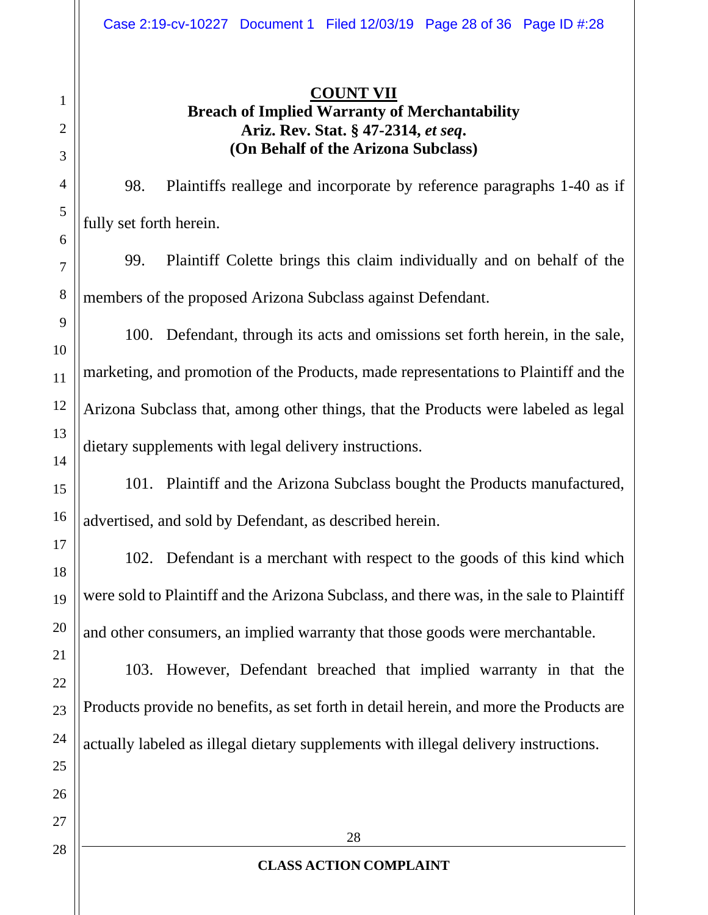### **COUNT VII Breach of Implied Warranty of Merchantability Ariz. Rev. Stat. § 47-2314,** *et seq***. (On Behalf of the Arizona Subclass)**

98. Plaintiffs reallege and incorporate by reference paragraphs 1-40 as if fully set forth herein.

99. Plaintiff Colette brings this claim individually and on behalf of the members of the proposed Arizona Subclass against Defendant.

100. Defendant, through its acts and omissions set forth herein, in the sale, marketing, and promotion of the Products, made representations to Plaintiff and the Arizona Subclass that, among other things, that the Products were labeled as legal dietary supplements with legal delivery instructions.

101. Plaintiff and the Arizona Subclass bought the Products manufactured, advertised, and sold by Defendant, as described herein.

102. Defendant is a merchant with respect to the goods of this kind which were sold to Plaintiff and the Arizona Subclass, and there was, in the sale to Plaintiff and other consumers, an implied warranty that those goods were merchantable.

103. However, Defendant breached that implied warranty in that the Products provide no benefits, as set forth in detail herein, and more the Products are actually labeled as illegal dietary supplements with illegal delivery instructions.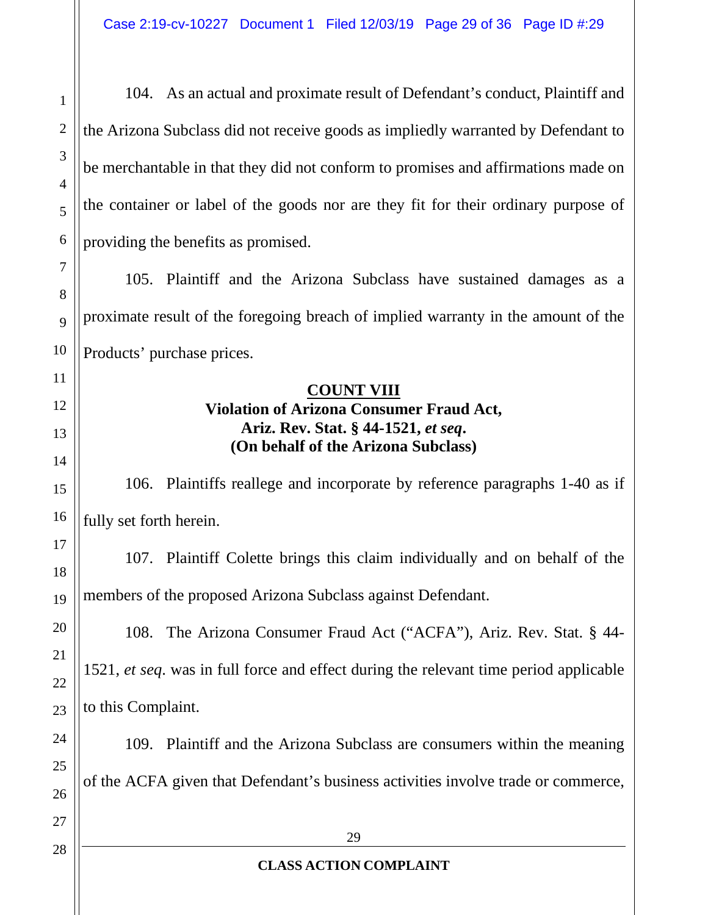104. As an actual and proximate result of Defendant's conduct, Plaintiff and the Arizona Subclass did not receive goods as impliedly warranted by Defendant to be merchantable in that they did not conform to promises and affirmations made on the container or label of the goods nor are they fit for their ordinary purpose of providing the benefits as promised.

105. Plaintiff and the Arizona Subclass have sustained damages as a proximate result of the foregoing breach of implied warranty in the amount of the Products' purchase prices.

#### **COUNT VIII Violation of Arizona Consumer Fraud Act, Ariz. Rev. Stat. § 44-1521,** *et seq***. (On behalf of the Arizona Subclass)**

106. Plaintiffs reallege and incorporate by reference paragraphs 1-40 as if fully set forth herein.

107. Plaintiff Colette brings this claim individually and on behalf of the members of the proposed Arizona Subclass against Defendant.

108. The Arizona Consumer Fraud Act ("ACFA"), Ariz. Rev. Stat. § 44- 1521, *et seq*. was in full force and effect during the relevant time period applicable to this Complaint.

109. Plaintiff and the Arizona Subclass are consumers within the meaning of the ACFA given that Defendant's business activities involve trade or commerce,

1

2

3

4

5

6

7

8

9

10

11

12

13

14

15

16

17

18

19

20

21

22

23

24

25

26

### **CLASS ACTION COMPLAINT**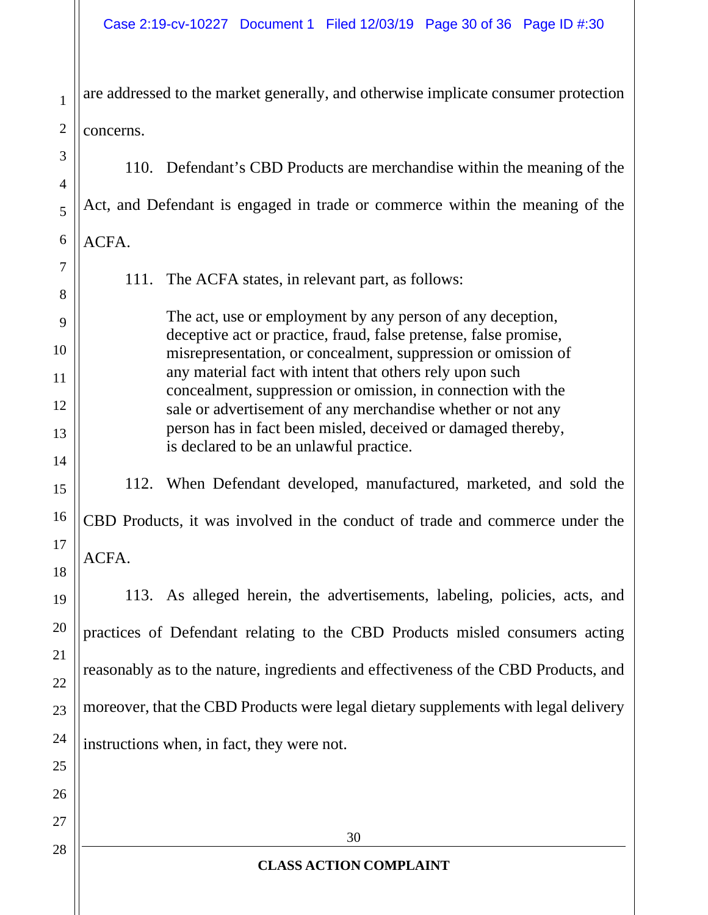are addressed to the market generally, and otherwise implicate consumer protection concerns.

110. Defendant's CBD Products are merchandise within the meaning of the Act, and Defendant is engaged in trade or commerce within the meaning of the ACFA.

111. The ACFA states, in relevant part, as follows:

The act, use or employment by any person of any deception, deceptive act or practice, fraud, false pretense, false promise, misrepresentation, or concealment, suppression or omission of any material fact with intent that others rely upon such concealment, suppression or omission, in connection with the sale or advertisement of any merchandise whether or not any person has in fact been misled, deceived or damaged thereby, is declared to be an unlawful practice.

112. When Defendant developed, manufactured, marketed, and sold the CBD Products, it was involved in the conduct of trade and commerce under the ACFA.

113. As alleged herein, the advertisements, labeling, policies, acts, and practices of Defendant relating to the CBD Products misled consumers acting reasonably as to the nature, ingredients and effectiveness of the CBD Products, and moreover, that the CBD Products were legal dietary supplements with legal delivery instructions when, in fact, they were not.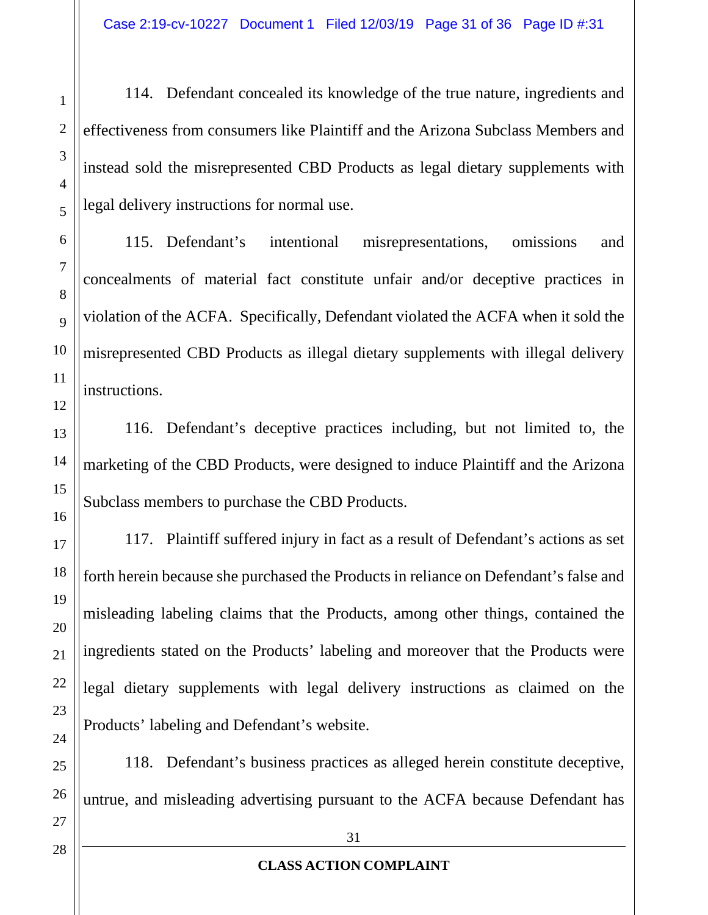114. Defendant concealed its knowledge of the true nature, ingredients and effectiveness from consumers like Plaintiff and the Arizona Subclass Members and instead sold the misrepresented CBD Products as legal dietary supplements with legal delivery instructions for normal use.

115. Defendant's intentional misrepresentations, omissions and concealments of material fact constitute unfair and/or deceptive practices in violation of the ACFA. Specifically, Defendant violated the ACFA when it sold the misrepresented CBD Products as illegal dietary supplements with illegal delivery instructions.

116. Defendant's deceptive practices including, but not limited to, the marketing of the CBD Products, were designed to induce Plaintiff and the Arizona Subclass members to purchase the CBD Products.

117. Plaintiff suffered injury in fact as a result of Defendant's actions as set forth herein because she purchased the Products in reliance on Defendant's false and misleading labeling claims that the Products, among other things, contained the ingredients stated on the Products' labeling and moreover that the Products were legal dietary supplements with legal delivery instructions as claimed on the Products' labeling and Defendant's website.

118. Defendant's business practices as alleged herein constitute deceptive, untrue, and misleading advertising pursuant to the ACFA because Defendant has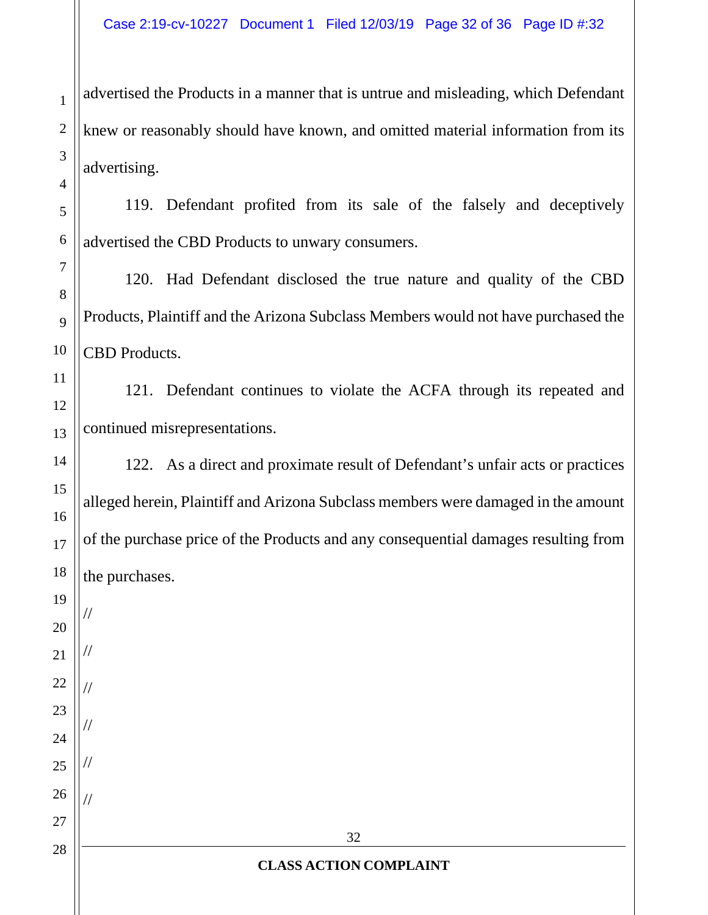advertised the Products in a manner that is untrue and misleading, which Defendant knew or reasonably should have known, and omitted material information from its advertising.

119. Defendant profited from its sale of the falsely and deceptively advertised the CBD Products to unwary consumers.

120. Had Defendant disclosed the true nature and quality of the CBD Products, Plaintiff and the Arizona Subclass Members would not have purchased the CBD Products.

121. Defendant continues to violate the ACFA through its repeated and continued misrepresentations.

122. As a direct and proximate result of Defendant's unfair acts or practices alleged herein, Plaintiff and Arizona Subclass members were damaged in the amount of the purchase price of the Products and any consequential damages resulting from the purchases.

//

//

//

//

//

//

#### **CLASS ACTION COMPLAINT**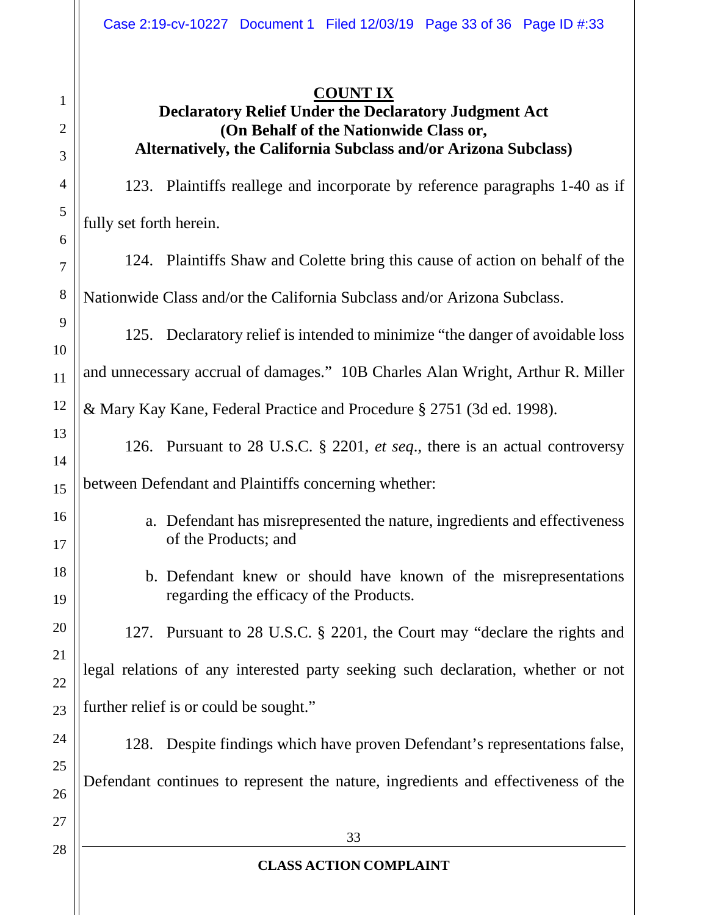### **COUNT IX**

#### **Declaratory Relief Under the Declaratory Judgment Act (On Behalf of the Nationwide Class or, Alternatively, the California Subclass and/or Arizona Subclass)**

123. Plaintiffs reallege and incorporate by reference paragraphs 1-40 as if fully set forth herein.

124. Plaintiffs Shaw and Colette bring this cause of action on behalf of the Nationwide Class and/or the California Subclass and/or Arizona Subclass.

125. Declaratory relief is intended to minimize "the danger of avoidable loss

and unnecessary accrual of damages." 10B Charles Alan Wright, Arthur R. Miller

12 & Mary Kay Kane, Federal Practice and Procedure § 2751 (3d ed. 1998).

126. Pursuant to 28 U.S.C. § 2201, *et seq*., there is an actual controversy

between Defendant and Plaintiffs concerning whether:

- a. Defendant has misrepresented the nature, ingredients and effectiveness of the Products; and
- b. Defendant knew or should have known of the misrepresentations regarding the efficacy of the Products.

127. Pursuant to 28 U.S.C. § 2201, the Court may "declare the rights and legal relations of any interested party seeking such declaration, whether or not further relief is or could be sought."

128. Despite findings which have proven Defendant's representations false, Defendant continues to represent the nature, ingredients and effectiveness of the



1

2

3

4

5

6

7

8

9

10

11

13

14

15

16

17

18

19

20

21

22

23

24

25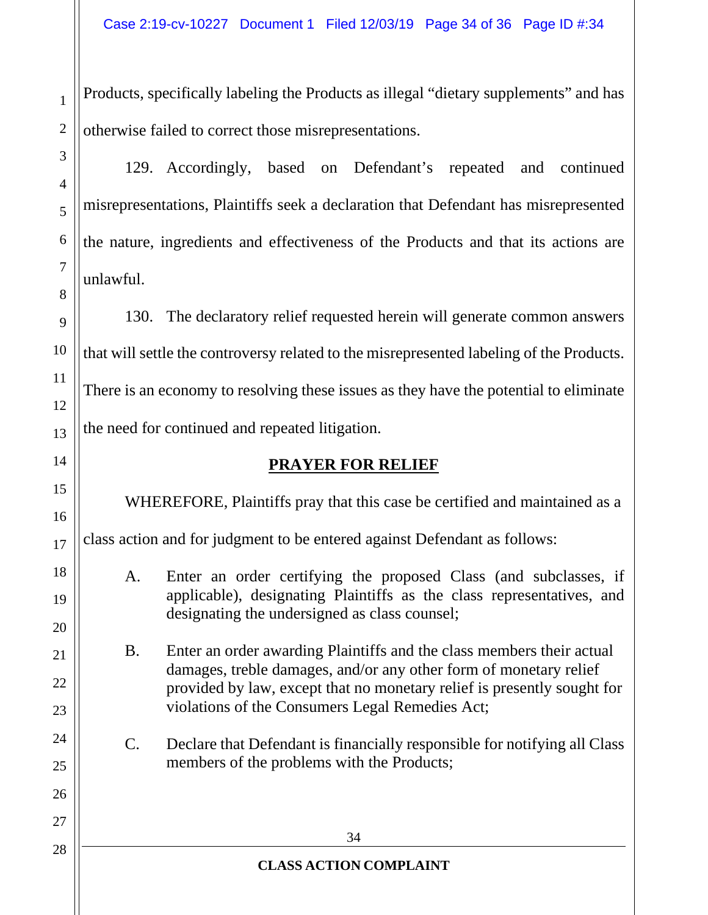Products, specifically labeling the Products as illegal "dietary supplements" and has otherwise failed to correct those misrepresentations.

129. Accordingly, based on Defendant's repeated and continued misrepresentations, Plaintiffs seek a declaration that Defendant has misrepresented the nature, ingredients and effectiveness of the Products and that its actions are unlawful.

130. The declaratory relief requested herein will generate common answers that will settle the controversy related to the misrepresented labeling of the Products. There is an economy to resolving these issues as they have the potential to eliminate the need for continued and repeated litigation.

# **PRAYER FOR RELIEF**

WHEREFORE, Plaintiffs pray that this case be certified and maintained as a

class action and for judgment to be entered against Defendant as follows:

- A. Enter an order certifying the proposed Class (and subclasses, if applicable), designating Plaintiffs as the class representatives, and designating the undersigned as class counsel;
- B. Enter an order awarding Plaintiffs and the class members their actual damages, treble damages, and/or any other form of monetary relief provided by law, except that no monetary relief is presently sought for violations of the Consumers Legal Remedies Act;
	- C. Declare that Defendant is financially responsible for notifying all Class members of the problems with the Products;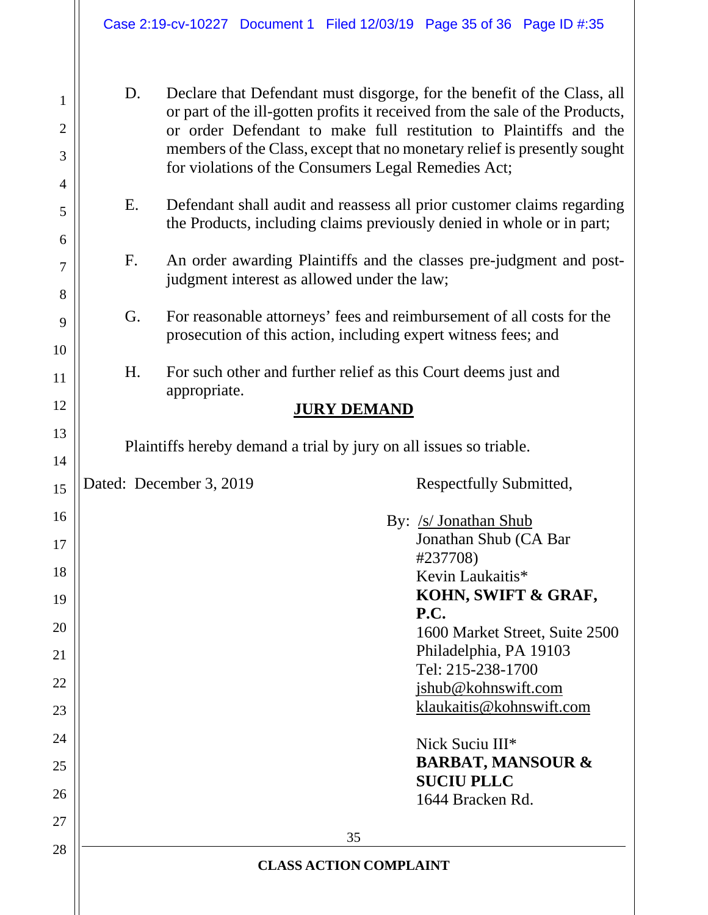$\mathbf{I}$ 

| $\mathbf 1$<br>$\overline{2}$ | D.                                                                 |                                                     | Declare that Defendant must disgorge, for the benefit of the Class, all<br>or part of the ill-gotten profits it received from the sale of the Products, |  |  |
|-------------------------------|--------------------------------------------------------------------|-----------------------------------------------------|---------------------------------------------------------------------------------------------------------------------------------------------------------|--|--|
|                               |                                                                    |                                                     | or order Defendant to make full restitution to Plaintiffs and the<br>members of the Class, except that no monetary relief is presently sought           |  |  |
| 3                             |                                                                    | for violations of the Consumers Legal Remedies Act; |                                                                                                                                                         |  |  |
| $\overline{4}$                |                                                                    |                                                     |                                                                                                                                                         |  |  |
| 5<br>6                        | E.                                                                 |                                                     | Defendant shall audit and reassess all prior customer claims regarding<br>the Products, including claims previously denied in whole or in part;         |  |  |
| 7                             | F.                                                                 | judgment interest as allowed under the law;         | An order awarding Plaintiffs and the classes pre-judgment and post-                                                                                     |  |  |
| 8                             |                                                                    |                                                     |                                                                                                                                                         |  |  |
| 9                             | G.                                                                 |                                                     | For reasonable attorneys' fees and reimbursement of all costs for the<br>prosecution of this action, including expert witness fees; and                 |  |  |
| 10                            | H.                                                                 |                                                     |                                                                                                                                                         |  |  |
| 11                            |                                                                    | appropriate.                                        | For such other and further relief as this Court deems just and                                                                                          |  |  |
| 12                            |                                                                    | <b>JURY DEMAND</b>                                  |                                                                                                                                                         |  |  |
| 13                            | Plaintiffs hereby demand a trial by jury on all issues so triable. |                                                     |                                                                                                                                                         |  |  |
| 14                            |                                                                    |                                                     |                                                                                                                                                         |  |  |
| 15                            |                                                                    | Dated: December 3, 2019                             | Respectfully Submitted,                                                                                                                                 |  |  |
| 16                            |                                                                    |                                                     | By: /s/ Jonathan Shub                                                                                                                                   |  |  |
| 17                            |                                                                    |                                                     | Jonathan Shub (CA Bar                                                                                                                                   |  |  |
| 18                            |                                                                    |                                                     | #237708)                                                                                                                                                |  |  |
|                               |                                                                    |                                                     | Kevin Laukaitis*                                                                                                                                        |  |  |
| 19                            |                                                                    |                                                     | KOHN, SWIFT & GRAF,<br><b>P.C.</b>                                                                                                                      |  |  |
| 20                            |                                                                    |                                                     | 1600 Market Street, Suite 2500                                                                                                                          |  |  |
| 21                            |                                                                    |                                                     | Philadelphia, PA 19103                                                                                                                                  |  |  |
|                               |                                                                    |                                                     | Tel: 215-238-1700                                                                                                                                       |  |  |
| 22                            |                                                                    |                                                     | jshub@kohnswift.com                                                                                                                                     |  |  |
| 23                            |                                                                    |                                                     | klaukaitis@kohnswift.com                                                                                                                                |  |  |
| 24                            |                                                                    |                                                     | Nick Suciu III*                                                                                                                                         |  |  |
| 25                            |                                                                    |                                                     | <b>BARBAT, MANSOUR &amp;</b>                                                                                                                            |  |  |
| 26                            |                                                                    |                                                     | <b>SUCIU PLLC</b>                                                                                                                                       |  |  |
|                               |                                                                    |                                                     | 1644 Bracken Rd.                                                                                                                                        |  |  |
| 27                            |                                                                    | 35                                                  |                                                                                                                                                         |  |  |
| 28                            | <b>CLASS ACTION COMPLAINT</b>                                      |                                                     |                                                                                                                                                         |  |  |
|                               |                                                                    |                                                     |                                                                                                                                                         |  |  |